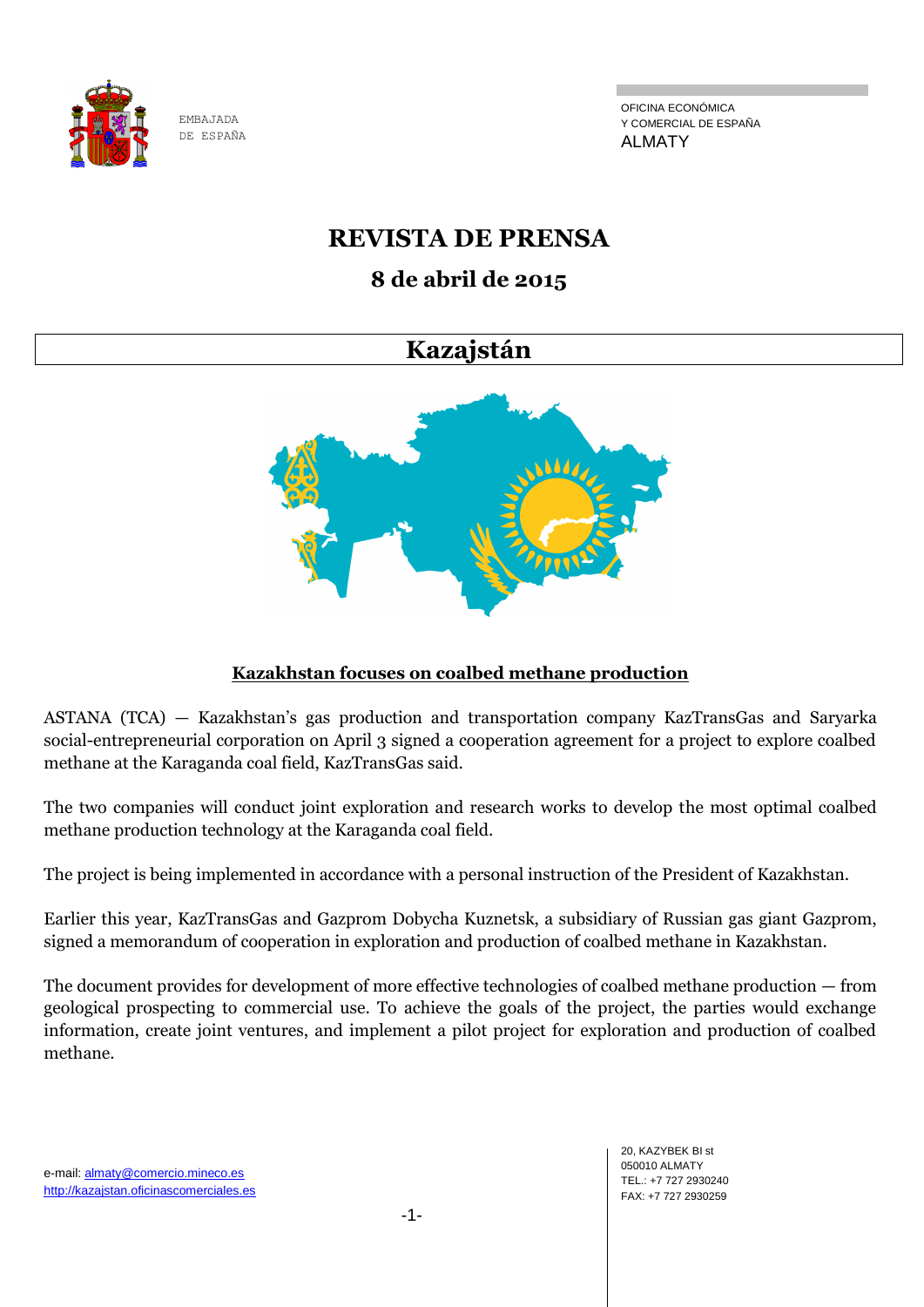

OFICINA ECONÓMICA Y COMERCIAL DE ESPAÑA ALMATY

# **REVISTA DE PRENSA**

# **8 de abril de 2015**

# **Kazajstán**



## **Kazakhstan focuses on coalbed methane production**

ASTANA (TCA) — Kazakhstan's gas production and transportation company KazTransGas and Saryarka social-entrepreneurial corporation on April 3 signed a cooperation agreement for a project to explore coalbed methane at the Karaganda coal field, KazTransGas said.

The two companies will conduct joint exploration and research works to develop the most optimal coalbed methane production technology at the Karaganda coal field.

The project is being implemented in accordance with a personal instruction of the President of Kazakhstan.

Earlier this year, KazTransGas and Gazprom Dobycha Kuznetsk, a subsidiary of Russian gas giant Gazprom, signed a memorandum of cooperation in exploration and production of coalbed methane in Kazakhstan.

The document provides for development of more effective technologies of coalbed methane production — from geological prospecting to commercial use. To achieve the goals of the project, the parties would exchange information, create joint ventures, and implement a pilot project for exploration and production of coalbed methane.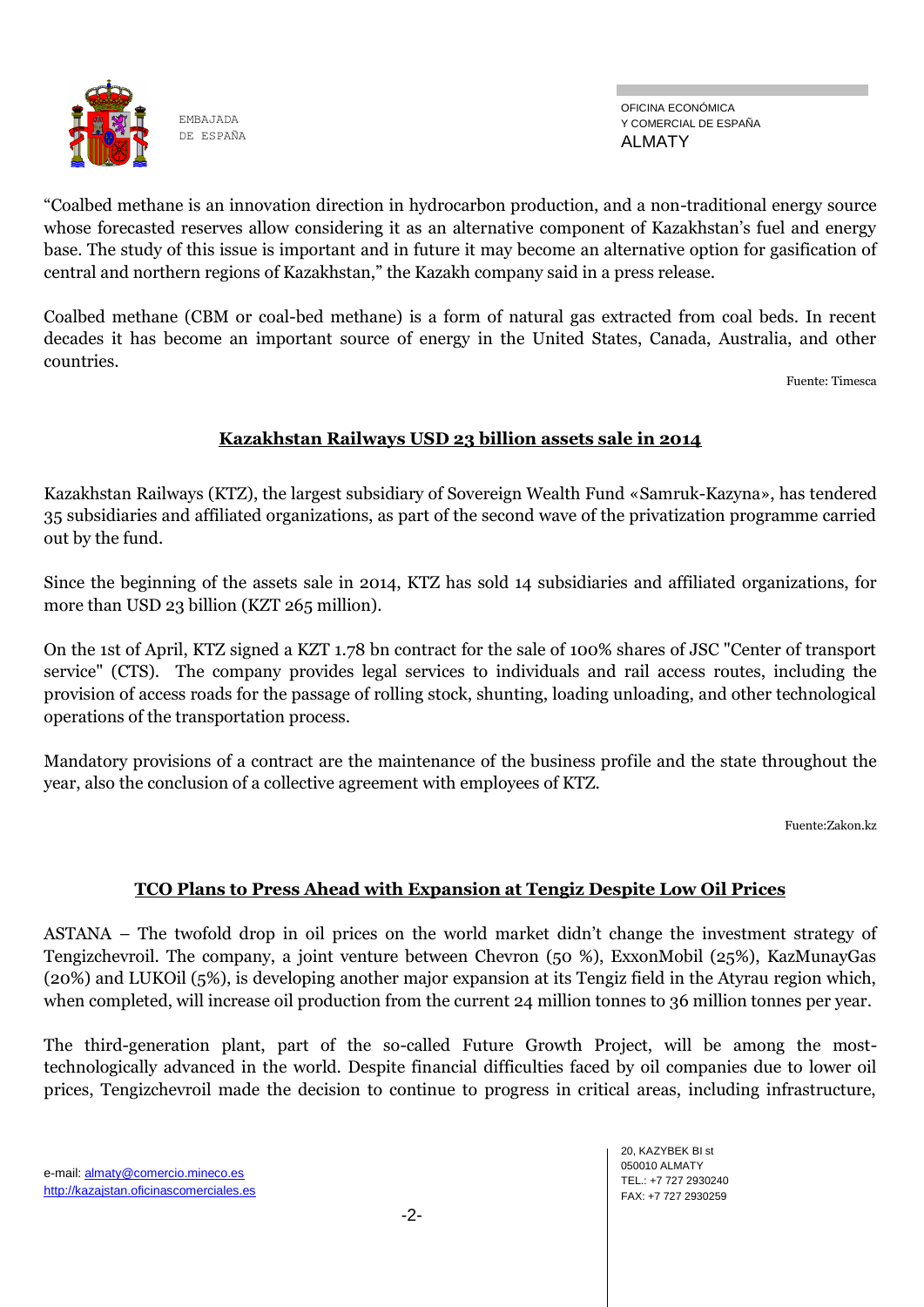

OFICINA ECONÓMICA Y COMERCIAL DE ESPAÑA ALMATY

―Coalbed methane is an innovation direction in hydrocarbon production, and a non-traditional energy source whose forecasted reserves allow considering it as an alternative component of Kazakhstan's fuel and energy base. The study of this issue is important and in future it may become an alternative option for gasification of central and northern regions of Kazakhstan," the Kazakh company said in a press release.

Coalbed methane (CBM or coal-bed methane) is a form of natural gas extracted from coal beds. In recent decades it has become an important source of energy in the United States, Canada, Australia, and other countries.

Fuente: Timesca

### **Kazakhstan Railways USD 23 billion assets sale in 2014**

Kazakhstan Railways (KTZ), the largest subsidiary of Sovereign Wealth Fund «Samruk-Kazyna», has tendered 35 subsidiaries and affiliated organizations, as part of the second wave of the privatization programme carried out by the fund.

Since the beginning of the assets sale in 2014, KTZ has sold 14 subsidiaries and affiliated organizations, for more than USD 23 billion (KZT 265 million).

On the 1st of April, KTZ signed a KZT 1.78 bn contract for the sale of 100% shares of JSC "Center of transport service" (CTS). The company provides legal services to individuals and rail access routes, including the provision of access roads for the passage of rolling stock, shunting, loading unloading, and other technological operations of the transportation process.

Mandatory provisions of a contract are the maintenance of the business profile and the state throughout the year, also the conclusion of a collective agreement with employees of KTZ.

Fuente:Zakon.kz

### **TCO Plans to Press Ahead with Expansion at Tengiz Despite Low Oil Prices**

ASTANA – The twofold drop in oil prices on the world market didn't change the investment strategy of Tengizchevroil. The company, a joint venture between Chevron (50 %), ExxonMobil (25%), KazMunayGas (20%) and LUKOil (5%), is developing another major expansion at its Tengiz field in the Atyrau region which, when completed, will increase oil production from the current 24 million tonnes to 36 million tonnes per year.

The third-generation plant, part of the so-called Future Growth Project, will be among the mosttechnologically advanced in the world. Despite financial difficulties faced by oil companies due to lower oil prices, Tengizchevroil made the decision to continue to progress in critical areas, including infrastructure,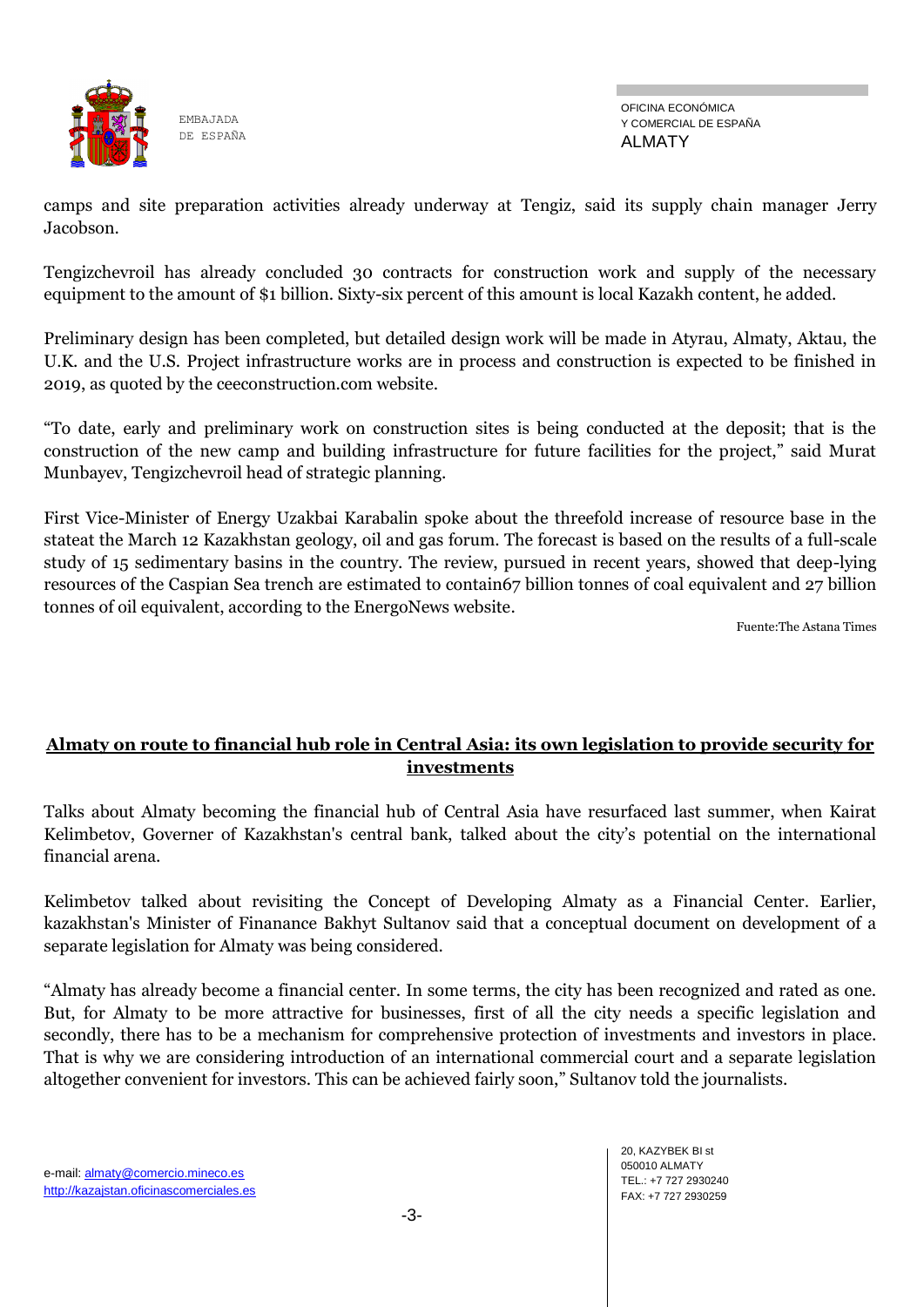

camps and site preparation activities already underway at Tengiz, said its supply chain manager Jerry Jaсobson.

Tengizchevroil has already concluded 30 contracts for construction work and supply of the necessary equipment to the amount of \$1 billion. Sixty-six percent of this amount is local Kazakh content, he added.

Preliminary design has been completed, but detailed design work will be made in Atyrau, Almaty, Aktau, the U.K. and the U.S. Project infrastructure works are in process and construction is expected to be finished in 2019, as quoted by the ceeconstruction.com website.

―To date, early and preliminary work on construction sites is being conducted at the deposit; that is the construction of the new camp and building infrastructure for future facilities for the project," said Murat Munbayev, Tengizchevroil head of strategic planning.

First Vice-Minister of Energy Uzakbai Karabalin spoke about the threefold increase of resource base in the stateat the March 12 Kazakhstan geology, oil and gas forum. The forecast is based on the results of a full-scale study of 15 sedimentary basins in the country. The review, pursued in recent years, showed that deep-lying resources of the Caspian Sea trench are estimated to contain67 billion tonnes of coal equivalent and 27 billion tonnes of oil equivalent, according to the EnergoNews website.

Fuente:The Astana Times

### **Almaty on route to financial hub role in Central Asia: its own legislation to provide security for investments**

Talks about Almaty becoming the financial hub of Central Asia have resurfaced last summer, when Kairat Kelimbetov, Governer of Kazakhstan's central bank, talked about the city's potential on the international financial arena.

Kelimbetov talked about revisiting the Concept of Developing Almaty as a Financial Center. Earlier, kazakhstan's Minister of Finanance Bakhyt Sultanov said that a conceptual document on development of a separate legislation for Almaty was being considered.

―Almaty has already become a financial center. In some terms, the city has been recognized and rated as one. But, for Almaty to be more attractive for businesses, first of all the city needs a specific legislation and secondly, there has to be a mechanism for comprehensive protection of investments and investors in place. That is why we are considering introduction of an international commercial court and a separate legislation altogether convenient for investors. This can be achieved fairly soon," Sultanov told the journalists.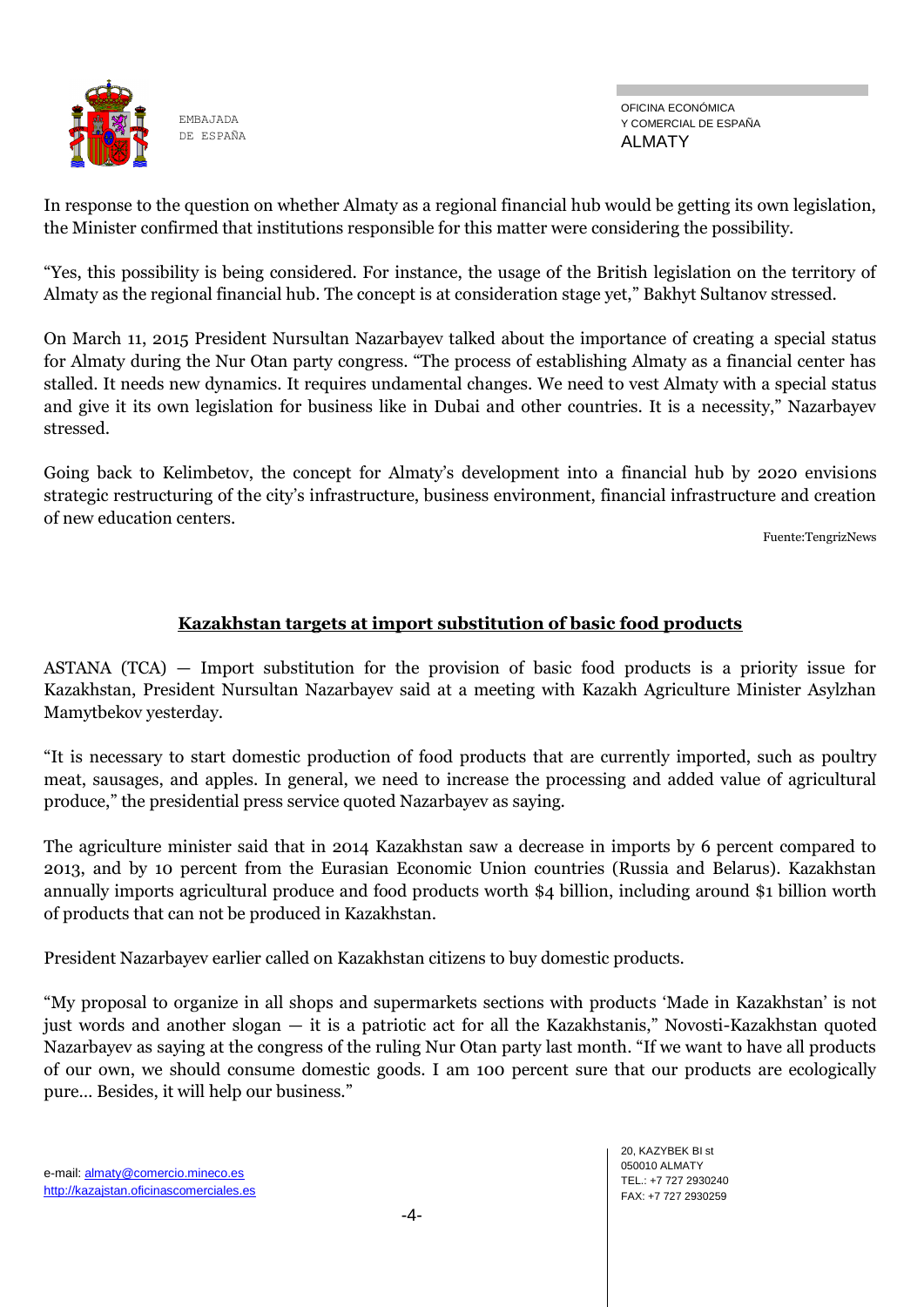

OFICINA ECONÓMICA Y COMERCIAL DE ESPAÑA ALMATY

In response to the question on whether Almaty as a regional financial hub would be getting its own legislation, the Minister confirmed that institutions responsible for this matter were considering the possibility.

―Yes, this possibility is being considered. For instance, the usage of the British legislation on the territory of Almaty as the regional financial hub. The concept is at consideration stage yet," Bakhyt Sultanov stressed.

On March 11, 2015 President Nursultan Nazarbayev talked about the importance of creating a special status for Almaty during the Nur Otan party congress. "The process of establishing Almaty as a financial center has stalled. It needs new dynamics. It requires undamental changes. We need to vest Almaty with a special status and give it its own legislation for business like in Dubai and other countries. It is a necessity," Nazarbayev stressed.

Going back to Kelimbetov, the concept for Almaty's development into a financial hub by 2020 envisions strategic restructuring of the city's infrastructure, business environment, financial infrastructure and creation of new education centers.

Fuente:TengrizNews

### **Kazakhstan targets at import substitution of basic food products**

ASTANA (TCA) — Import substitution for the provision of basic food products is a priority issue for Kazakhstan, President Nursultan Nazarbayev said at a meeting with Kazakh Agriculture Minister Asylzhan Mamytbekov yesterday.

―It is necessary to start domestic production of food products that are currently imported, such as poultry meat, sausages, and apples. In general, we need to increase the processing and added value of agricultural produce," the presidential press service quoted Nazarbayev as saying.

The agriculture minister said that in 2014 Kazakhstan saw a decrease in imports by 6 percent compared to 2013, and by 10 percent from the Eurasian Economic Union countries (Russia and Belarus). Kazakhstan annually imports agricultural produce and food products worth \$4 billion, including around \$1 billion worth of products that can not be produced in Kazakhstan.

President Nazarbayev earlier called on Kazakhstan citizens to buy domestic products.

―My proposal to organize in all shops and supermarkets sections with products ‗Made in Kazakhstan' is not just words and another slogan — it is a patriotic act for all the Kazakhstanis," Novosti-Kazakhstan quoted Nazarbayev as saying at the congress of the ruling Nur Otan party last month. "If we want to have all products of our own, we should consume domestic goods. I am 100 percent sure that our products are ecologically pure... Besides, it will help our business."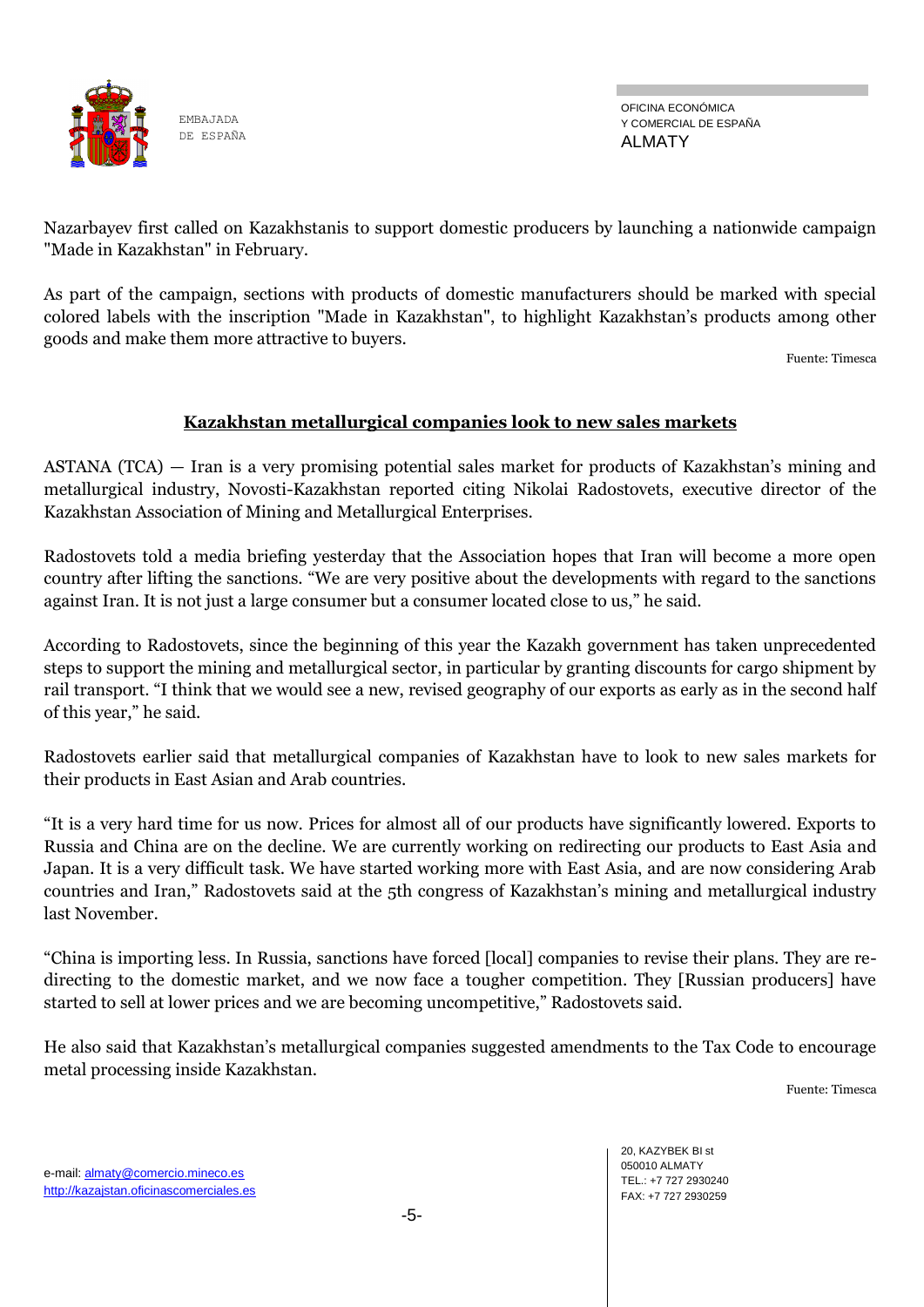![](_page_4_Picture_0.jpeg)

Nazarbayev first called on Kazakhstanis to support domestic producers by launching a nationwide campaign "Made in Kazakhstan" in February.

As part of the campaign, sections with products of domestic manufacturers should be marked with special colored labels with the inscription "Made in Kazakhstan", to highlight Kazakhstan's products among other goods and make them more attractive to buyers.

Fuente: Timesca

### **Kazakhstan metallurgical companies look to new sales markets**

ASTANA (TCA) — Iran is a very promising potential sales market for products of Kazakhstan's mining and metallurgical industry, Novosti-Kazakhstan reported citing Nikolai Radostovets, executive director of the Kazakhstan Association of Mining and Metallurgical Enterprises.

Radostovets told a media briefing yesterday that the Association hopes that Iran will become a more open country after lifting the sanctions. "We are very positive about the developments with regard to the sanctions against Iran. It is not just a large consumer but a consumer located close to us," he said.

According to Radostovets, since the beginning of this year the Kazakh government has taken unprecedented steps to support the mining and metallurgical sector, in particular by granting discounts for cargo shipment by rail transport. "I think that we would see a new, revised geography of our exports as early as in the second half of this year," he said.

Radostovets earlier said that metallurgical companies of Kazakhstan have to look to new sales markets for their products in East Asian and Arab countries.

―It is a very hard time for us now. Prices for almost all of our products have significantly lowered. Exports to Russia and China are on the decline. We are currently working on redirecting our products to East Asia and Japan. It is a very difficult task. We have started working more with East Asia, and are now considering Arab countries and Iran," Radostovets said at the 5th congress of Kazakhstan's mining and metallurgical industry last November.

―China is importing less. In Russia, sanctions have forced [local] companies to revise their plans. They are redirecting to the domestic market, and we now face a tougher competition. They [Russian producers] have started to sell at lower prices and we are becoming uncompetitive," Radostovets said.

He also said that Kazakhstan's metallurgical companies suggested amendments to the Tax Code to encourage metal processing inside Kazakhstan.

Fuente: Timesca

e-mail: almaty@comercio.mineco.es http://kazajstan.oficinascomerciales.es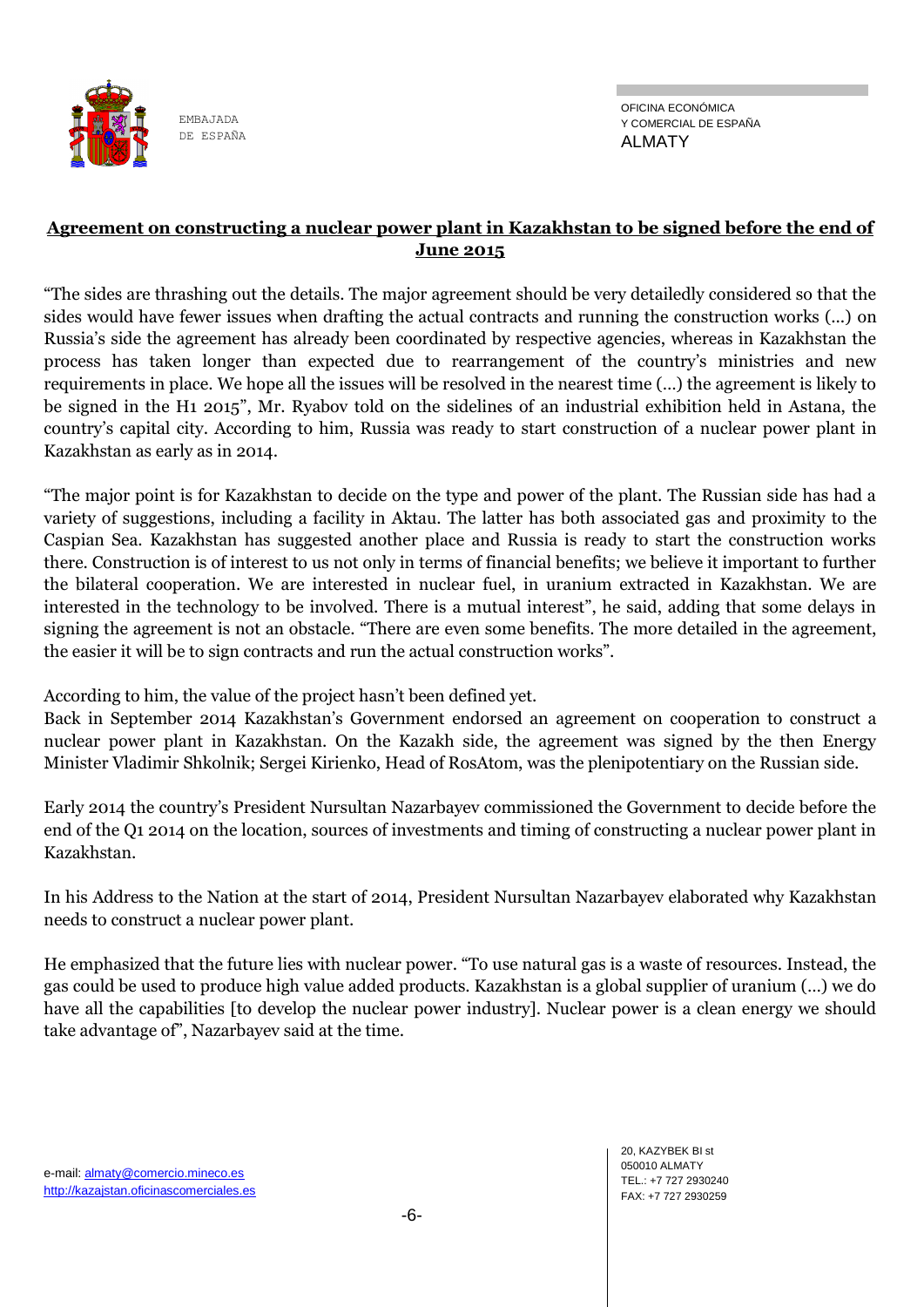![](_page_5_Picture_0.jpeg)

### **Agreement on constructing a nuclear power plant in Kazakhstan to be signed before the end of June 2015**

―The sides are thrashing out the details. The major agreement should be very detailedly considered so that the sides would have fewer issues when drafting the actual contracts and running the construction works (...) on Russia's side the agreement has already been coordinated by respective agencies, whereas in Kazakhstan the process has taken longer than expected due to rearrangement of the country's ministries and new requirements in place. We hope all the issues will be resolved in the nearest time (…) the agreement is likely to be signed in the H1 2015", Mr. Ryabov told on the sidelines of an industrial exhibition held in Astana, the country's capital city. According to him, Russia was ready to start construction of a nuclear power plant in Kazakhstan as early as in 2014.

―The major point is for Kazakhstan to decide on the type and power of the plant. The Russian side has had a variety of suggestions, including a facility in Aktau. The latter has both associated gas and proximity to the Caspian Sea. Kazakhstan has suggested another place and Russia is ready to start the construction works there. Construction is of interest to us not only in terms of financial benefits; we believe it important to further the bilateral cooperation. We are interested in nuclear fuel, in uranium extracted in Kazakhstan. We are interested in the technology to be involved. There is a mutual interest", he said, adding that some delays in signing the agreement is not an obstacle. "There are even some benefits. The more detailed in the agreement, the easier it will be to sign contracts and run the actual construction works".

According to him, the value of the project hasn't been defined yet.

Back in September 2014 Kazakhstan's Government endorsed an agreement on cooperation to construct a nuclear power plant in Kazakhstan. On the Kazakh side, the agreement was signed by the then Energy Minister Vladimir Shkolnik; Sergei Kirienko, Head of RosAtom, was the plenipotentiary on the Russian side.

Early 2014 the country's President Nursultan Nazarbayev commissioned the Government to decide before the end of the Q1 2014 on the location, sources of investments and timing of constructing a nuclear power plant in Kazakhstan.

In his Address to the Nation at the start of 2014, President Nursultan Nazarbayev elaborated why Kazakhstan needs to construct a nuclear power plant.

He emphasized that the future lies with nuclear power. "To use natural gas is a waste of resources. Instead, the gas could be used to produce high value added products. Kazakhstan is a global supplier of uranium (…) we do have all the capabilities [to develop the nuclear power industry]. Nuclear power is a clean energy we should take advantage of", Nazarbayev said at the time.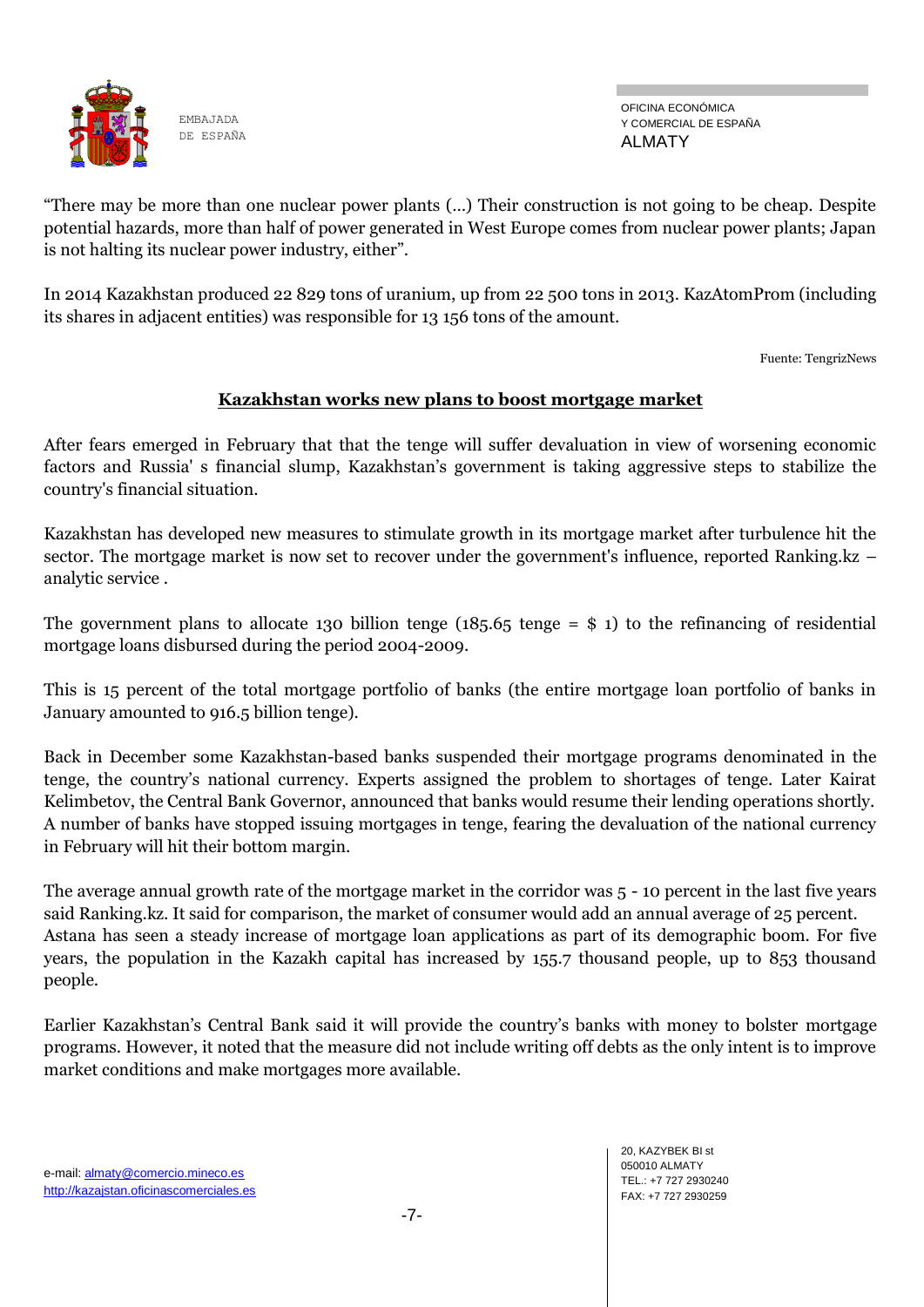![](_page_6_Picture_0.jpeg)

OFICINA ECONÓMICA Y COMERCIAL DE ESPAÑA ALMATY

―There may be more than one nuclear power plants (…) Their construction is not going to be cheap. Despite potential hazards, more than half of power generated in West Europe comes from nuclear power plants; Japan is not halting its nuclear power industry, either".

In 2014 Kazakhstan produced 22 829 tons of uranium, up from 22 500 tons in 2013. KazAtomProm (including its shares in adjacent entities) was responsible for 13 156 tons of the amount.

Fuente: TengrizNews

### **Kazakhstan works new plans to boost mortgage market**

After fears emerged in February that that the tenge will suffer devaluation in view of worsening economic factors and Russia' s financial slump, Kazakhstan's government is taking aggressive steps to stabilize the country's financial situation.

Kazakhstan has developed new measures to stimulate growth in its mortgage market after turbulence hit the sector. The mortgage market is now set to recover under the government's influence, reported Ranking.kz – analytic service .

The government plans to allocate 130 billion tenge (185.65 tenge  $=$  \$ 1) to the refinancing of residential mortgage loans disbursed during the period 2004-2009.

This is 15 percent of the total mortgage portfolio of banks (the entire mortgage loan portfolio of banks in January amounted to 916.5 billion tenge).

Back in December some Kazakhstan-based banks suspended their mortgage programs denominated in the tenge, the country's national currency. Experts assigned the problem to shortages of tenge. Later Kairat Kelimbetov, the Central Bank Governor, announced that banks would resume their lending operations shortly. A number of banks have stopped issuing mortgages in tenge, fearing the devaluation of the national currency in February will hit their bottom margin.

The average annual growth rate of the mortgage market in the corridor was 5 - 10 percent in the last five years said Ranking.kz. It said for comparison, the market of consumer would add an annual average of 25 percent. Astana has seen a steady increase of mortgage loan applications as part of its demographic boom. For five years, the population in the Kazakh capital has increased by 155.7 thousand people, up to 853 thousand people.

Earlier Kazakhstan's Central Bank said it will provide the country's banks with money to bolster mortgage programs. However, it noted that the measure did not include writing off debts as the only intent is to improve market conditions and make mortgages more available.

-7-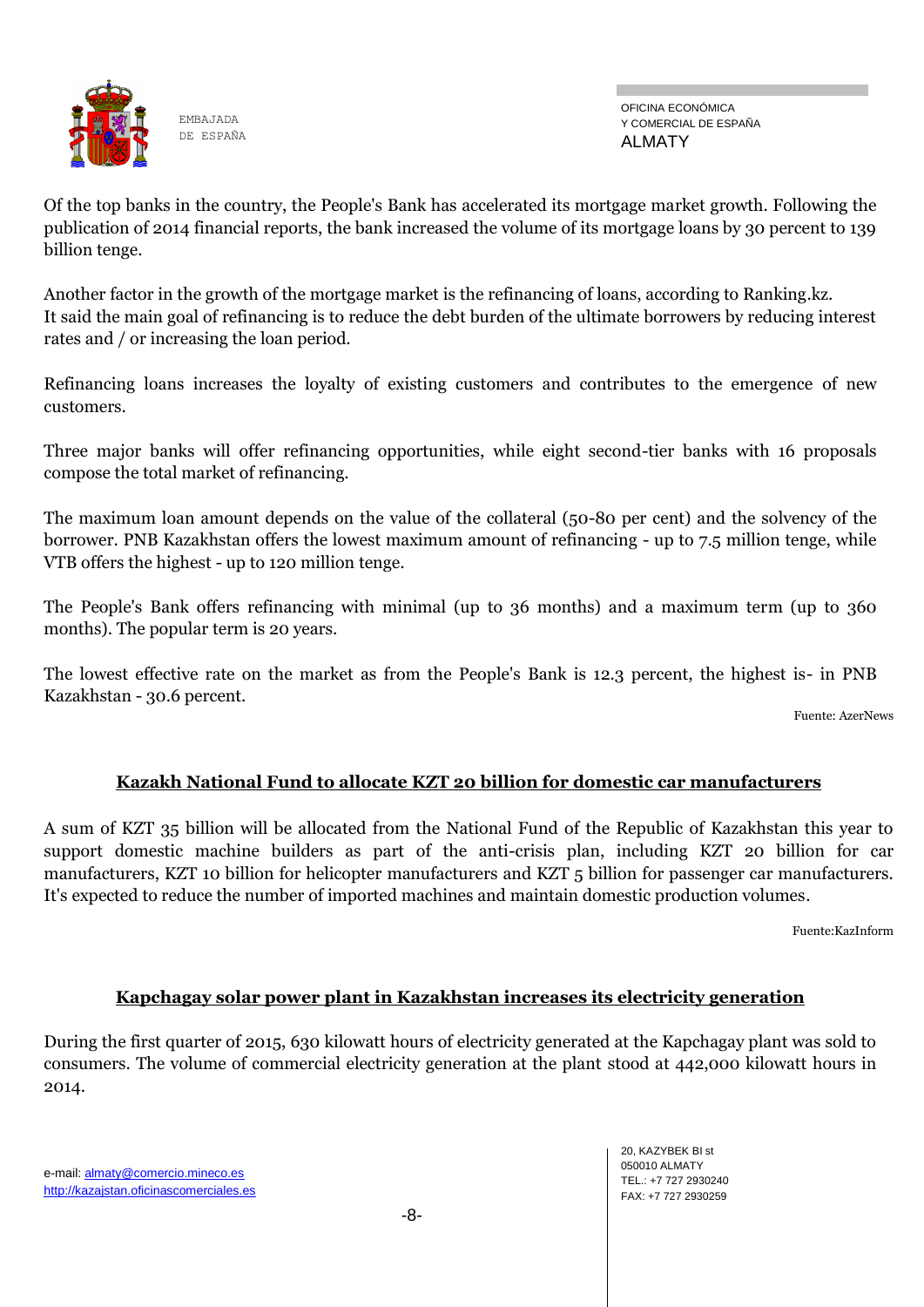![](_page_7_Picture_0.jpeg)

OFICINA ECONÓMICA Y COMERCIAL DE ESPAÑA ALMATY

Of the top banks in the country, the People's Bank has accelerated its mortgage market growth. Following the publication of 2014 financial reports, the bank increased the volume of its mortgage loans by 30 percent to 139 billion tenge.

Another factor in the growth of the mortgage market is the refinancing of loans, according to Ranking.kz. It said the main goal of refinancing is to reduce the debt burden of the ultimate borrowers by reducing interest rates and / or increasing the loan period.

Refinancing loans increases the loyalty of existing customers and contributes to the emergence of new customers.

Three major banks will offer refinancing opportunities, while eight second-tier banks with 16 proposals compose the total market of refinancing.

The maximum loan amount depends on the value of the collateral (50-80 per cent) and the solvency of the borrower. PNB Kazakhstan offers the lowest maximum amount of refinancing - up to 7.5 million tenge, while VTB offers the highest - up to 120 million tenge.

The People's Bank offers refinancing with minimal (up to 36 months) and a maximum term (up to 360 months). The popular term is 20 years.

The lowest effective rate on the market as from the People's Bank is 12.3 percent, the highest is- in PNB Kazakhstan - 30.6 percent.

Fuente: AzerNews

## **Kazakh National Fund to allocate KZT 20 billion for domestic car manufacturers**

A sum of KZT 35 billion will be allocated from the National Fund of the Republic of Kazakhstan this year to support domestic machine builders as part of the anti-crisis plan, including KZT 20 billion for car manufacturers, KZT 10 billion for helicopter manufacturers and KZT 5 billion for passenger car manufacturers. It's expected to reduce the number of imported machines and maintain domestic production volumes.

Fuente:KazInform

### **Kapchagay solar power plant in Kazakhstan increases its electricity generation**

During the first quarter of 2015, 630 kilowatt hours of electricity generated at the Kapchagay plant was sold to consumers. The volume of commercial electricity generation at the plant stood at 442,000 kilowatt hours in 2014.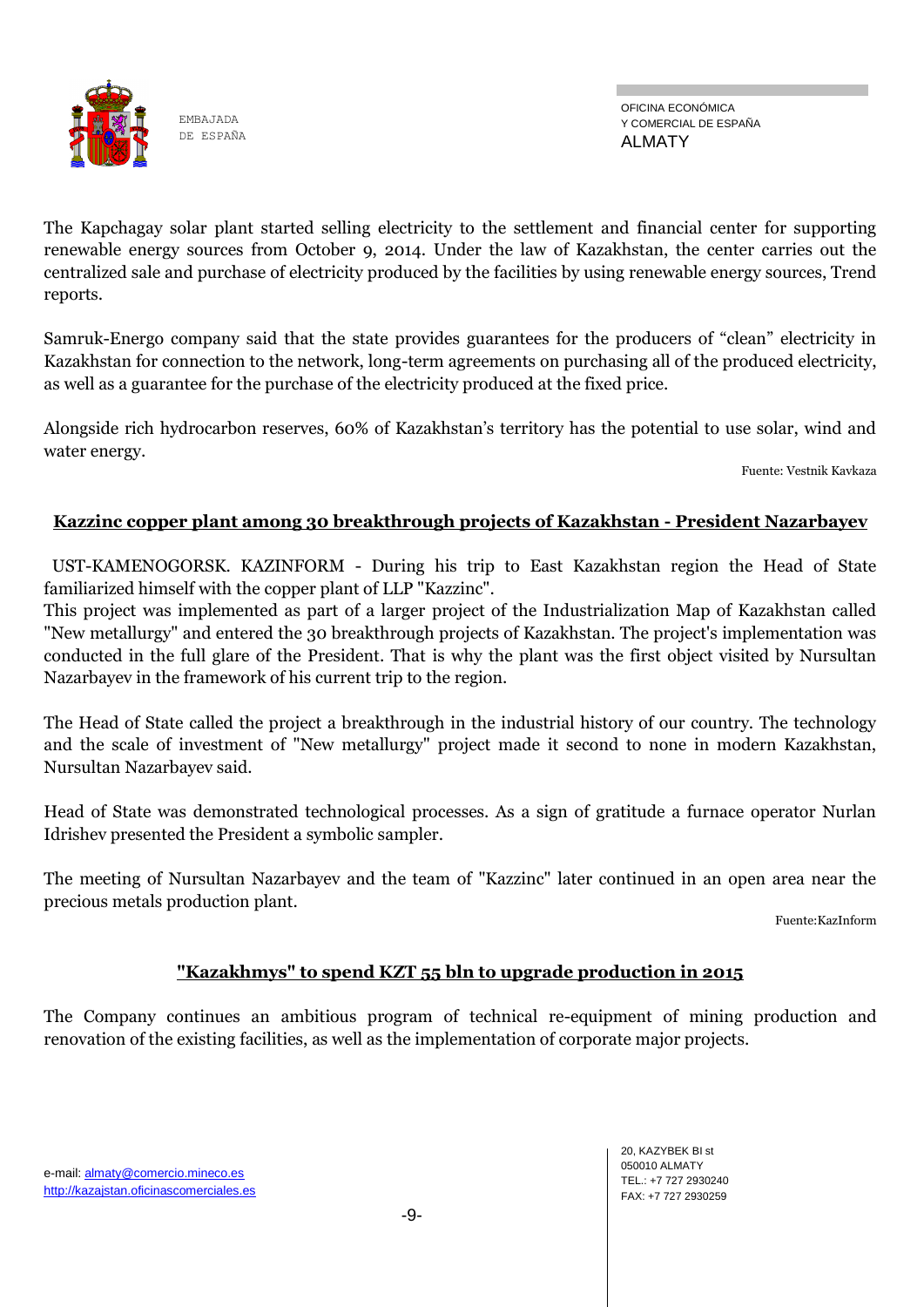![](_page_8_Picture_0.jpeg)

OFICINA ECONÓMICA Y COMERCIAL DE ESPAÑA ALMATY

The Kapchagay solar plant started selling electricity to the settlement and financial center for supporting renewable energy sources from October 9, 2014. Under the law of Kazakhstan, the center carries out the centralized sale and purchase of electricity produced by the facilities by using renewable energy sources, Trend reports.

Samruk-Energo company said that the state provides guarantees for the producers of "clean" electricity in Kazakhstan for connection to the network, long-term agreements on purchasing all of the produced electricity, as well as a guarantee for the purchase of the electricity produced at the fixed price.

Alongside rich hydrocarbon reserves, 60% of Kazakhstan's territory has the potential to use solar, wind and water energy.

Fuente: Vestnik Kavkaza

### **Kazzinc copper plant among 30 breakthrough projects of Kazakhstan - President Nazarbayev**

 UST-KAMENOGORSK. KAZINFORM - During his trip to East Kazakhstan region the Head of State familiarized himself with the copper plant of LLP "Kazzinc".

This project was implemented as part of a larger project of the Industrialization Map of Kazakhstan called "New metallurgy" and entered the 30 breakthrough projects of Kazakhstan. The project's implementation was conducted in the full glare of the President. That is why the plant was the first object visited by Nursultan Nazarbayev in the framework of his current trip to the region.

The Head of State called the project a breakthrough in the industrial history of our country. The technology and the scale of investment of "New metallurgy" project made it second to none in modern Kazakhstan, Nursultan Nazarbayev said.

Head of State was demonstrated technological processes. As a sign of gratitude a furnace operator Nurlan Idrishev presented the President a symbolic sampler.

The meeting of Nursultan Nazarbayev and the team of "Kazzinc" later continued in an open area near the precious metals production plant.

Fuente:KazInform

### **"Kazakhmys" to spend KZT 55 bln to upgrade production in 2015**

The Company continues an ambitious program of technical re-equipment of mining production and renovation of the existing facilities, as well as the implementation of corporate major projects.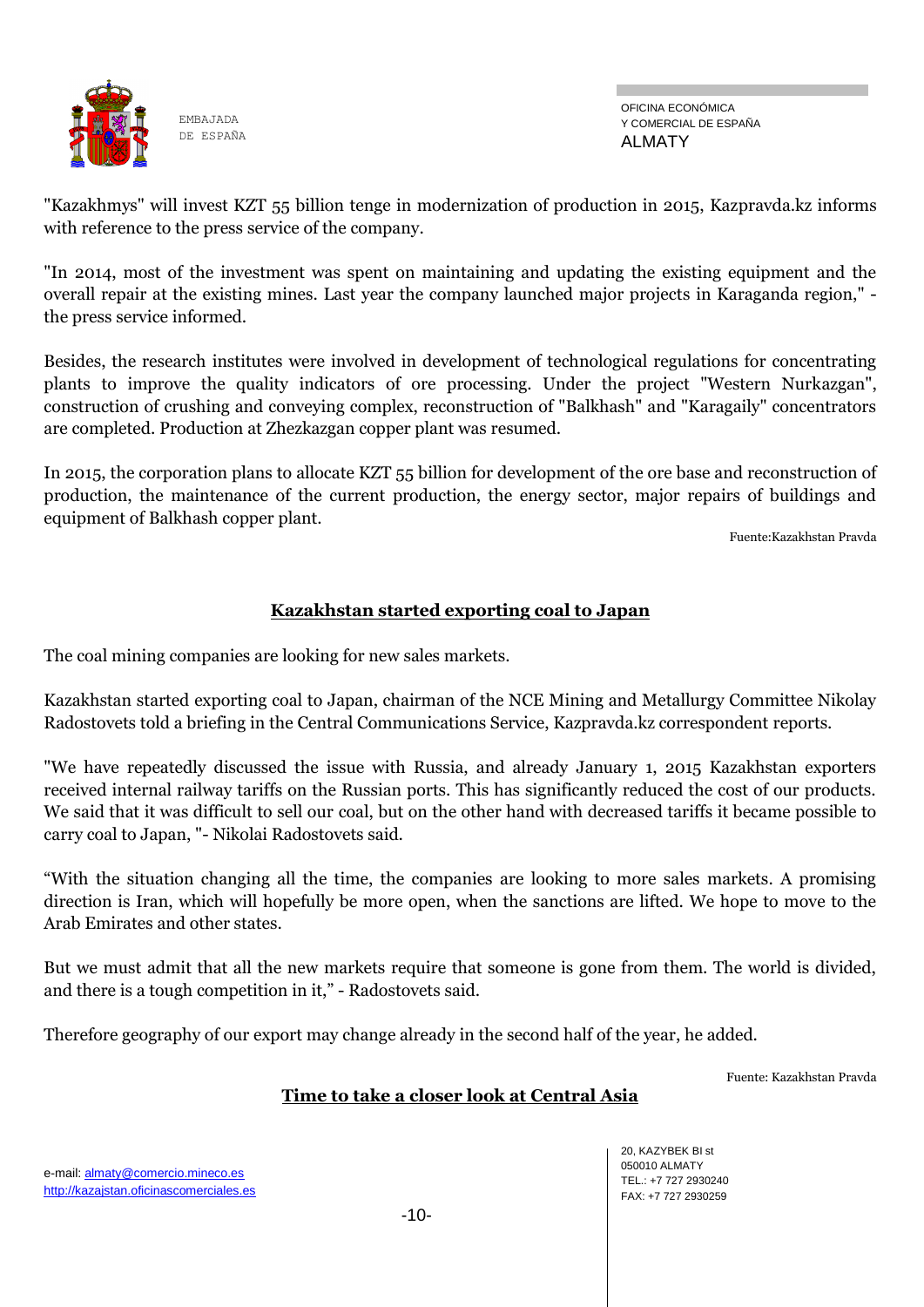![](_page_9_Picture_0.jpeg)

OFICINA ECONÓMICA Y COMERCIAL DE ESPAÑA ALMATY

"Kazakhmys" will invest KZT 55 billion tenge in modernization of production in 2015, Kazpravda.kz informs with reference to the press service of the company.

"In 2014, most of the investment was spent on maintaining and updating the existing equipment and the overall repair at the existing mines. Last year the company launched major projects in Karaganda region," the press service informed.

Besides, the research institutes were involved in development of technological regulations for concentrating plants to improve the quality indicators of ore processing. Under the project "Western Nurkazgan", construction of crushing and conveying complex, reconstruction of "Balkhash" and "Karagaily" concentrators are completed. Production at Zhezkazgan copper plant was resumed.

In 2015, the corporation plans to allocate KZT 55 billion for development of the ore base and reconstruction of production, the maintenance of the current production, the energy sector, major repairs of buildings and equipment of Balkhash copper plant.

Fuente:Kazakhstan Pravda

### **Kazakhstan started exporting coal to Japan**

The coal mining companies are looking for new sales markets.

Kazakhstan started exporting coal to Japan, chairman of the NCE Mining and Metallurgy Committee Nikolay Radostovets told a briefing in the Central Communications Service, Kazpravda.kz correspondent reports.

"We have repeatedly discussed the issue with Russia, and already January 1, 2015 Kazakhstan exporters received internal railway tariffs on the Russian ports. This has significantly reduced the cost of our products. We said that it was difficult to sell our coal, but on the other hand with decreased tariffs it became possible to carry coal to Japan, "- Nikolai Radostovets said.

―With the situation changing all the time, the companies are looking to more sales markets. A promising direction is Iran, which will hopefully be more open, when the sanctions are lifted. We hope to move to the Arab Emirates and other states.

But we must admit that all the new markets require that someone is gone from them. The world is divided, and there is a tough competition in it," - Radostovets said.

Therefore geography of our export may change already in the second half of the year, he added.

Fuente: Kazakhstan Pravda

### **Time to take a closer look at Central Asia**

e-mail: almaty@comercio.mineco.es http://kazajstan.oficinascomerciales.es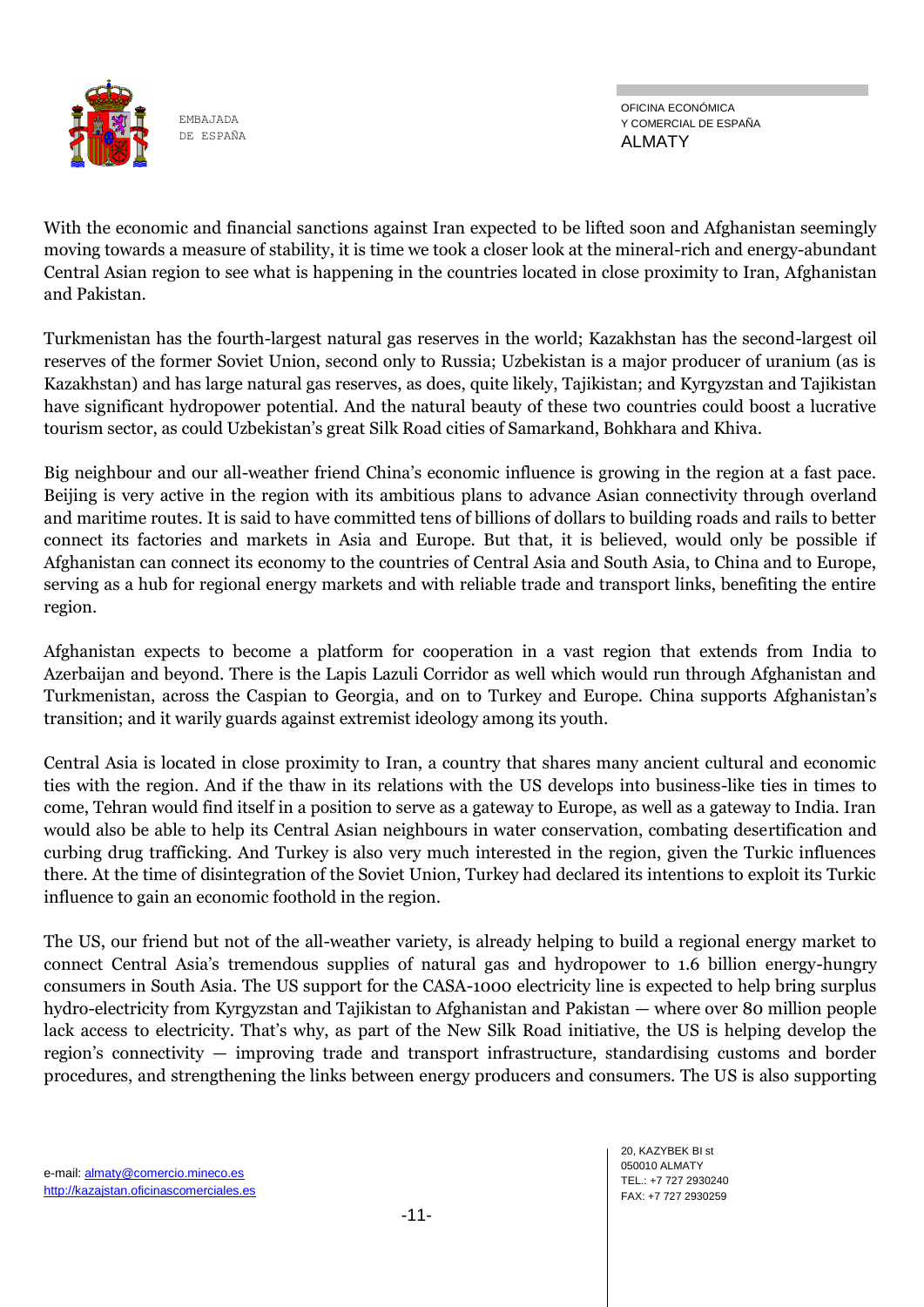![](_page_10_Picture_0.jpeg)

OFICINA ECONÓMICA Y COMERCIAL DE ESPAÑA ALMATY

With the economic and financial sanctions against Iran expected to be lifted soon and Afghanistan seemingly moving towards a measure of stability, it is time we took a closer look at the mineral-rich and energy-abundant Central Asian region to see what is happening in the countries located in close proximity to Iran, Afghanistan and Pakistan.

Turkmenistan has the fourth-largest natural gas reserves in the world; Kazakhstan has the second-largest oil reserves of the former Soviet Union, second only to Russia; Uzbekistan is a major producer of uranium (as is Kazakhstan) and has large natural gas reserves, as does, quite likely, Tajikistan; and Kyrgyzstan and Tajikistan have significant hydropower potential. And the natural beauty of these two countries could boost a lucrative tourism sector, as could Uzbekistan's great Silk Road cities of Samarkand, Bohkhara and Khiva.

Big neighbour and our all-weather friend China's economic influence is growing in the region at a fast pace. Beijing is very active in the region with its ambitious plans to advance Asian connectivity through overland and maritime routes. It is said to have committed tens of billions of dollars to building roads and rails to better connect its factories and markets in Asia and Europe. But that, it is believed, would only be possible if Afghanistan can connect its economy to the countries of Central Asia and South Asia, to China and to Europe, serving as a hub for regional energy markets and with reliable trade and transport links, benefiting the entire region.

Afghanistan expects to become a platform for cooperation in a vast region that extends from India to Azerbaijan and beyond. There is the Lapis Lazuli Corridor as well which would run through Afghanistan and Turkmenistan, across the Caspian to Georgia, and on to Turkey and Europe. China supports Afghanistan's transition; and it warily guards against extremist ideology among its youth.

Central Asia is located in close proximity to Iran, a country that shares many ancient cultural and economic ties with the region. And if the thaw in its relations with the US develops into business-like ties in times to come, Tehran would find itself in a position to serve as a gateway to Europe, as well as a gateway to India. Iran would also be able to help its Central Asian neighbours in water conservation, combating desertification and curbing drug trafficking. And Turkey is also very much interested in the region, given the Turkic influences there. At the time of disintegration of the Soviet Union, Turkey had declared its intentions to exploit its Turkic influence to gain an economic foothold in the region.

The US, our friend but not of the all-weather variety, is already helping to build a regional energy market to connect Central Asia's tremendous supplies of natural gas and hydropower to 1.6 billion energy-hungry consumers in South Asia. The US support for the CASA-1000 electricity line is expected to help bring surplus hydro-electricity from Kyrgyzstan and Tajikistan to Afghanistan and Pakistan — where over 80 million people lack access to electricity. That's why, as part of the New Silk Road initiative, the US is helping develop the region's connectivity — improving trade and transport infrastructure, standardising customs and border procedures, and strengthening the links between energy producers and consumers. The US is also supporting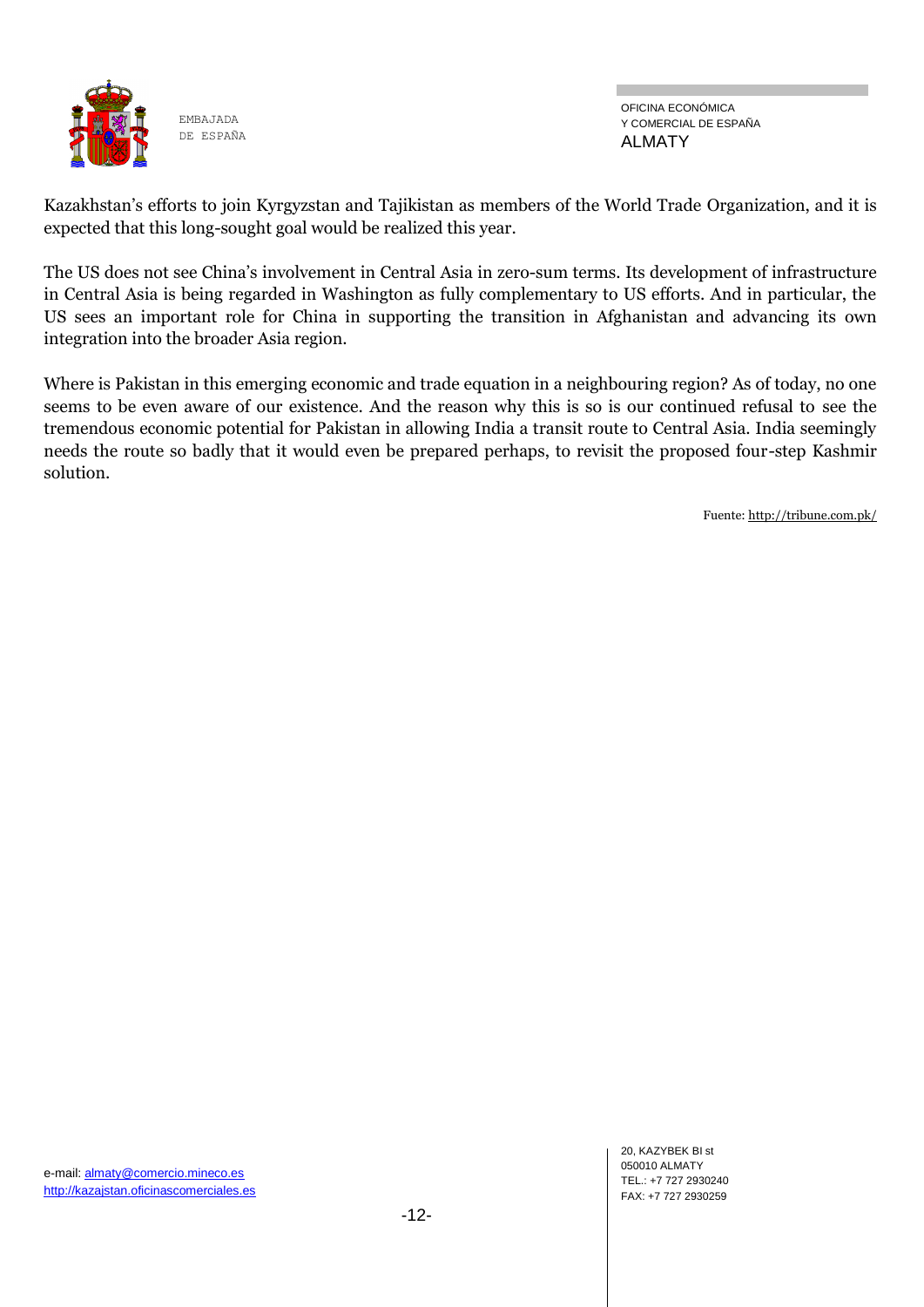![](_page_11_Picture_0.jpeg)

OFICINA ECONÓMICA Y COMERCIAL DE ESPAÑA ALMATY

Kazakhstan's efforts to join Kyrgyzstan and Tajikistan as members of the World Trade Organization, and it is expected that this long-sought goal would be realized this year.

The US does not see China's involvement in Central Asia in zero-sum terms. Its development of infrastructure in Central Asia is being regarded in Washington as fully complementary to US efforts. And in particular, the US sees an important role for China in supporting the transition in Afghanistan and advancing its own integration into the broader Asia region.

Where is Pakistan in this emerging economic and trade equation in a neighbouring region? As of today, no one seems to be even aware of our existence. And the reason why this is so is our continued refusal to see the tremendous economic potential for Pakistan in allowing India a transit route to Central Asia. India seemingly needs the route so badly that it would even be prepared perhaps, to revisit the proposed four-step Kashmir solution.

Fuente[: http://tribune.com.pk/](http://tribune.com.pk/)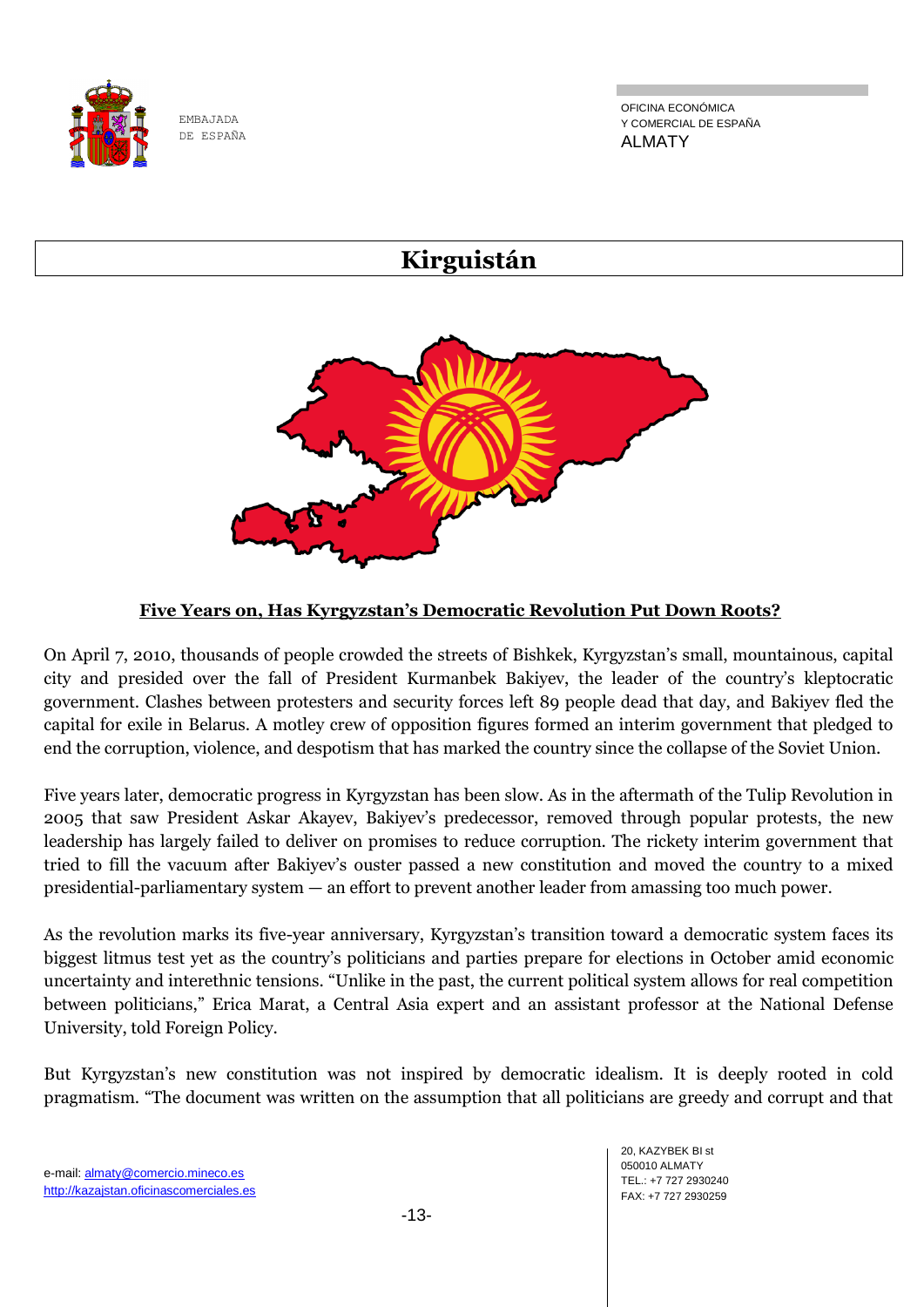![](_page_12_Picture_0.jpeg)

OFICINA ECONÓMICA Y COMERCIAL DE ESPAÑA ALMATY

# **Kirguistán**

![](_page_12_Picture_4.jpeg)

# **Five Years on, Has Kyrgyzstan's Democratic Revolution Put Down Roots?**

On April 7, 2010, thousands of people crowded the streets of Bishkek, Kyrgyzstan's small, mountainous, capital city and presided over the fall of President Kurmanbek Bakiyev, the leader of the country's kleptocratic government. Clashes between protesters and security forces left 89 people dead that day, and Bakiyev fled the capital for exile in Belarus. A motley crew of opposition figures formed an interim government that pledged to end the corruption, violence, and despotism that has marked the country since the collapse of the Soviet Union.

Five years later, democratic progress in Kyrgyzstan has been slow. As in the aftermath of the Tulip Revolution in 2005 that saw President Askar Akayev, Bakiyev's predecessor, removed through popular protests, the new leadership has largely failed to deliver on promises to reduce corruption. The rickety interim government that tried to fill the vacuum after Bakiyev's ouster passed a new constitution and moved the country to a mixed presidential-parliamentary system — an effort to prevent another leader from amassing too much power.

As the revolution marks its five-year anniversary, Kyrgyzstan's transition toward a democratic system faces its biggest litmus test yet as the country's politicians and parties prepare for elections in October amid economic uncertainty and interethnic tensions. "Unlike in the past, the current political system allows for real competition between politicians," Erica Marat, a Central Asia expert and an assistant professor at the National Defense University, told Foreign Policy.

But Kyrgyzstan's new constitution was not inspired by democratic idealism. It is deeply rooted in cold pragmatism. "The document was written on the assumption that all politicians are greedy and corrupt and that

20, KAZYBEK BI st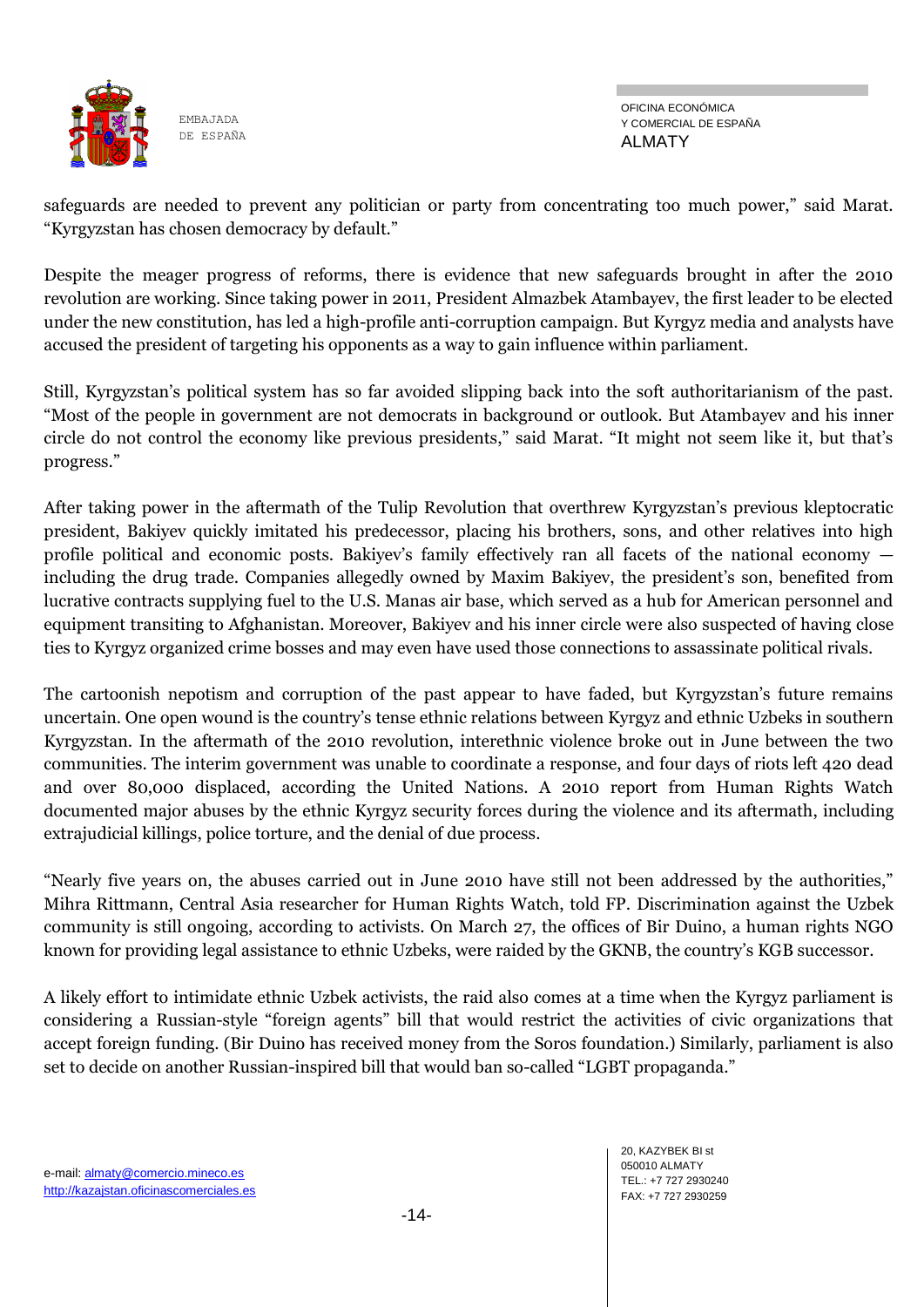![](_page_13_Picture_0.jpeg)

safeguards are needed to prevent any politician or party from concentrating too much power," said Marat. "Kyrgyzstan has chosen democracy by default."

Despite the meager progress of reforms, there is evidence that new safeguards brought in after the 2010 revolution are working. Since taking power in 2011, President Almazbek Atambayev, the first leader to be elected under the new constitution, has led a high-profile anti-corruption campaign. But Kyrgyz media and analysts have accused the president of targeting his opponents as a way to gain influence within parliament.

Still, Kyrgyzstan's political system has so far avoided slipping back into the soft authoritarianism of the past. ―Most of the people in government are not democrats in background or outlook. But Atambayev and his inner circle do not control the economy like previous presidents," said Marat. "It might not seem like it, but that's progress."

After taking power in the aftermath of the Tulip Revolution that overthrew Kyrgyzstan's previous kleptocratic president, Bakiyev quickly imitated his predecessor, placing his brothers, sons, and other relatives into high profile political and economic posts. Bakiyev's family effectively ran all facets of the national economy including the drug trade. Companies allegedly owned by Maxim Bakiyev, the president's son, benefited from lucrative contracts supplying fuel to the U.S. Manas air base, which served as a hub for American personnel and equipment transiting to Afghanistan. Moreover, Bakiyev and his inner circle were also suspected of having close ties to Kyrgyz organized crime bosses and may even have used those connections to assassinate political rivals.

The cartoonish nepotism and corruption of the past appear to have faded, but Kyrgyzstan's future remains uncertain. One open wound is the country's tense ethnic relations between Kyrgyz and ethnic Uzbeks in southern Kyrgyzstan. In the aftermath of the 2010 revolution, interethnic violence broke out in June between the two communities. The interim government was unable to coordinate a response, and four days of riots left 420 dead and over 80,000 displaced, according the United Nations. A 2010 report from Human Rights Watch documented major abuses by the ethnic Kyrgyz security forces during the violence and its aftermath, including extrajudicial killings, police torture, and the denial of due process.

"Nearly five years on, the abuses carried out in June 2010 have still not been addressed by the authorities," Mihra Rittmann, Central Asia researcher for Human Rights Watch, told FP. Discrimination against the Uzbek community is still ongoing, according to activists. On March 27, the offices of Bir Duino, a human rights NGO known for providing legal assistance to ethnic Uzbeks, were raided by the GKNB, the country's KGB successor.

A likely effort to intimidate ethnic Uzbek activists, the raid also comes at a time when the Kyrgyz parliament is considering a Russian-style "foreign agents" bill that would restrict the activities of civic organizations that accept foreign funding. (Bir Duino has received money from the Soros foundation.) Similarly, parliament is also set to decide on another Russian-inspired bill that would ban so-called "LGBT propaganda."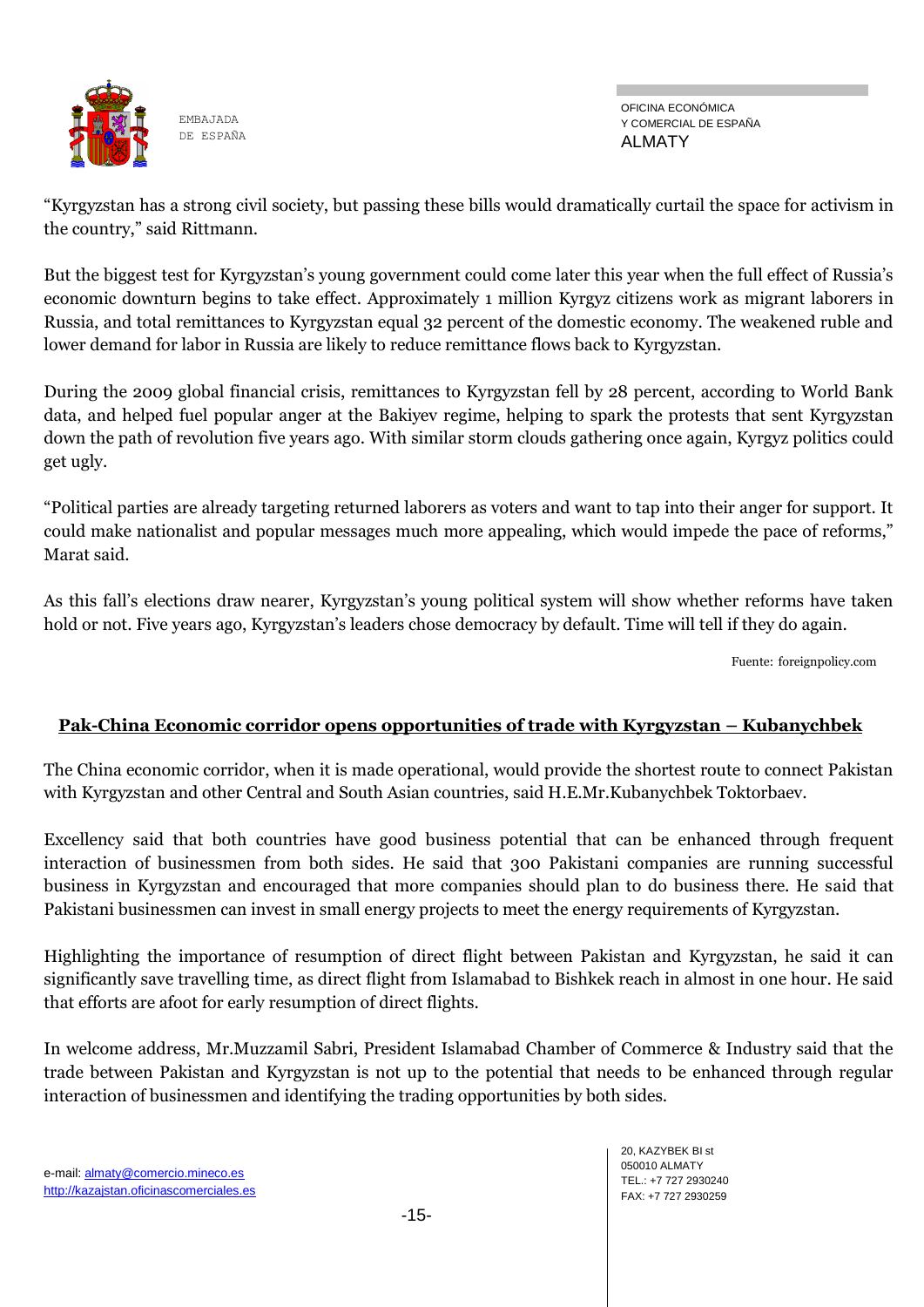![](_page_14_Picture_0.jpeg)

OFICINA ECONÓMICA Y COMERCIAL DE ESPAÑA ALMATY

―Kyrgyzstan has a strong civil society, but passing these bills would dramatically curtail the space for activism in the country," said Rittmann.

But the biggest test for Kyrgyzstan's young government could come later this year when the full effect of Russia's economic downturn begins to take effect. Approximately 1 million Kyrgyz citizens work as migrant laborers in Russia, and total remittances to Kyrgyzstan equal 32 percent of the domestic economy. The weakened ruble and lower demand for labor in Russia are likely to reduce remittance flows back to Kyrgyzstan.

During the 2009 global financial crisis, remittances to Kyrgyzstan fell by 28 percent, according to World Bank data, and helped fuel popular anger at the Bakiyev regime, helping to spark the protests that sent Kyrgyzstan down the path of revolution five years ago. With similar storm clouds gathering once again, Kyrgyz politics could get ugly.

―Political parties are already targeting returned laborers as voters and want to tap into their anger for support. It could make nationalist and popular messages much more appealing, which would impede the pace of reforms," Marat said.

As this fall's elections draw nearer, Kyrgyzstan's young political system will show whether reforms have taken hold or not. Five years ago, Kyrgyzstan's leaders chose democracy by default. Time will tell if they do again.

Fuente: foreignpolicy.com

### **Pak-China Economic corridor opens opportunities of trade with Kyrgyzstan – Kubanychbek**

The China economic corridor, when it is made operational, would provide the shortest route to connect Pakistan with Kyrgyzstan and other Central and South Asian countries, said H.E.Mr.Kubanychbek Toktorbaev.

Excellency said that both countries have good business potential that can be enhanced through frequent interaction of businessmen from both sides. He said that 300 Pakistani companies are running successful business in Kyrgyzstan and encouraged that more companies should plan to do business there. He said that Pakistani businessmen can invest in small energy projects to meet the energy requirements of Kyrgyzstan.

Highlighting the importance of resumption of direct flight between Pakistan and Kyrgyzstan, he said it can significantly save travelling time, as direct flight from Islamabad to Bishkek reach in almost in one hour. He said that efforts are afoot for early resumption of direct flights.

In welcome address, Mr.Muzzamil Sabri, President Islamabad Chamber of Commerce & Industry said that the trade between Pakistan and Kyrgyzstan is not up to the potential that needs to be enhanced through regular interaction of businessmen and identifying the trading opportunities by both sides.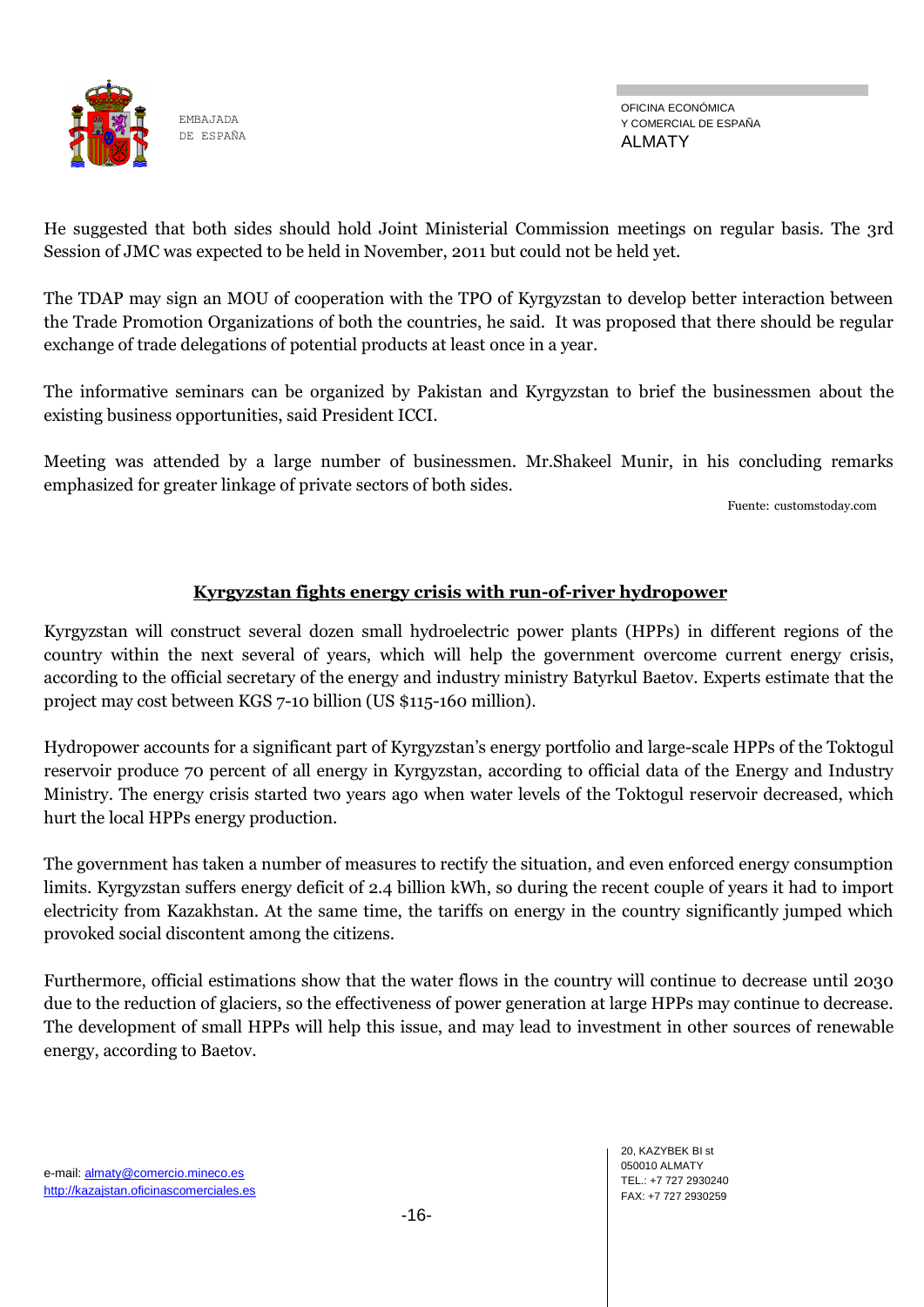![](_page_15_Picture_0.jpeg)

He suggested that both sides should hold Joint Ministerial Commission meetings on regular basis. The 3rd Session of JMC was expected to be held in November, 2011 but could not be held yet.

The TDAP may sign an MOU of cooperation with the TPO of Kyrgyzstan to develop better interaction between the Trade Promotion Organizations of both the countries, he said. It was proposed that there should be regular exchange of trade delegations of potential products at least once in a year.

The informative seminars can be organized by Pakistan and Kyrgyzstan to brief the businessmen about the existing business opportunities, said President ICCI.

Meeting was attended by a large number of businessmen. Mr.Shakeel Munir, in his concluding remarks emphasized for greater linkage of private sectors of both sides.

Fuente: customstoday.com

### **Kyrgyzstan fights energy crisis with run-of-river hydropower**

Kyrgyzstan will construct several dozen small hydroelectric power plants (HPPs) in different regions of the country within the next several of years, which will help the government overcome current energy crisis, according to the official secretary of the energy and industry ministry Batyrkul Baetov. Experts estimate that the project may cost between KGS 7-10 billion (US \$115-160 million).

Hydropower accounts for a significant part of Kyrgyzstan's energy portfolio and large-scale HPPs of the Toktogul reservoir produce 70 percent of all energy in Kyrgyzstan, according to official data of the Energy and Industry Ministry. The energy crisis started two years ago when water levels of the Toktogul reservoir decreased, which hurt the local HPPs energy production.

The government has taken a number of measures to rectify the situation, and even enforced energy consumption limits. Kyrgyzstan suffers energy deficit of 2.4 billion kWh, so during the recent couple of years it had to import electricity from Kazakhstan. At the same time, the tariffs on energy in the country significantly jumped which provoked social discontent among the citizens.

Furthermore, official estimations show that the water flows in the country will continue to decrease until 2030 due to the reduction of glaciers, so the effectiveness of power generation at large HPPs may continue to decrease. The development of small HPPs will help this issue, and may lead to investment in other sources of renewable energy, according to Baetov.

20, KAZYBEK BI st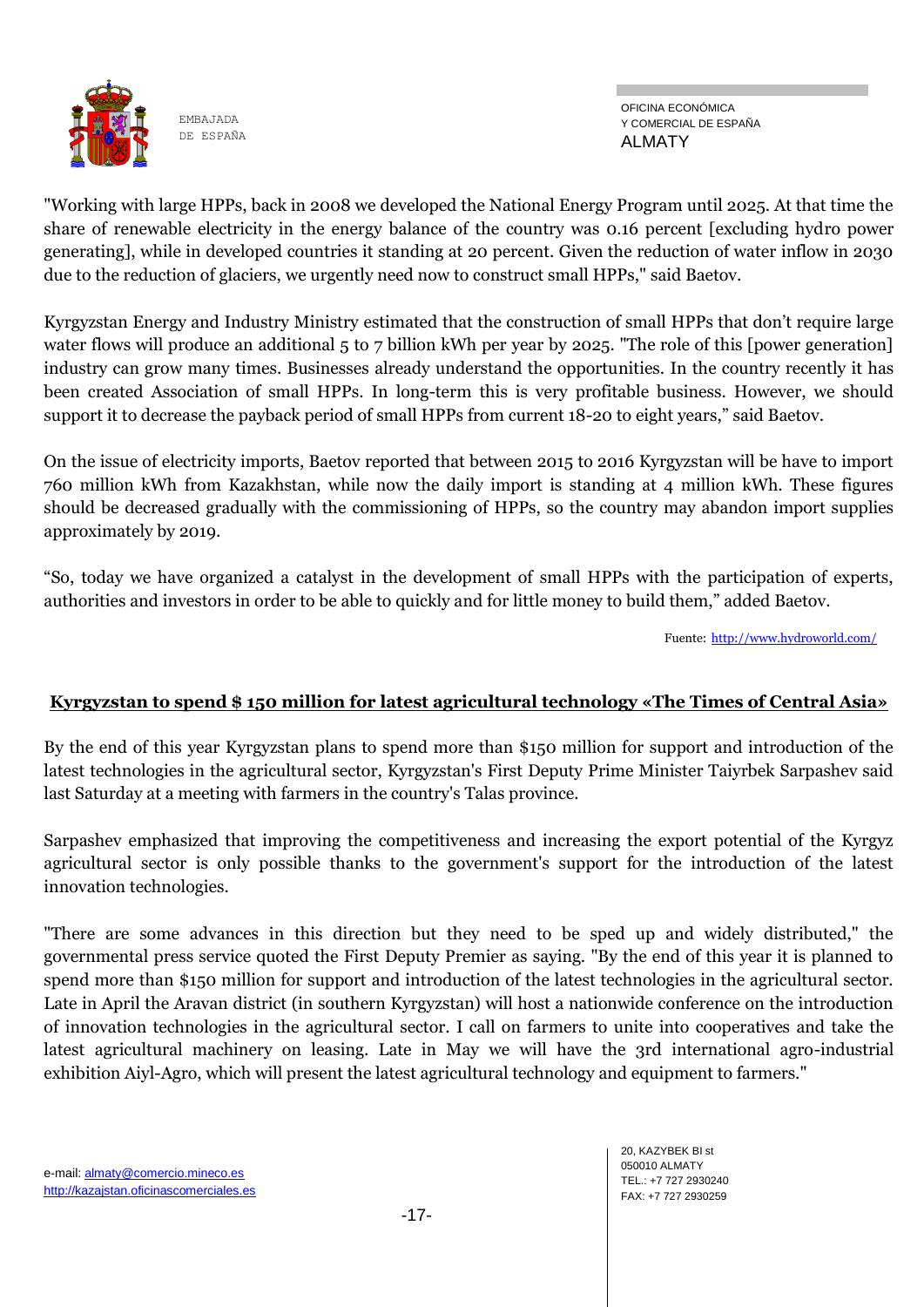![](_page_16_Picture_0.jpeg)

OFICINA ECONÓMICA Y COMERCIAL DE ESPAÑA ALMATY

"Working with large HPPs, back in 2008 we developed the National Energy Program until 2025. At that time the share of renewable electricity in the energy balance of the country was 0.16 percent [excluding hydro power generating], while in developed countries it standing at 20 percent. Given the reduction of water inflow in 2030 due to the reduction of glaciers, we urgently need now to construct small HPPs," said Baetov.

Kyrgyzstan Energy and Industry Ministry estimated that the construction of small HPPs that don't require large water flows will produce an additional 5 to 7 billion kWh per year by 2025. "The role of this [power generation] industry can grow many times. Businesses already understand the opportunities. In the country recently it has been created Association of small HPPs. In long-term this is very profitable business. However, we should support it to decrease the payback period of small HPPs from current 18-20 to eight years," said Baetov.

On the issue of electricity imports, Baetov reported that between 2015 to 2016 Kyrgyzstan will be have to import 760 million kWh from Kazakhstan, while now the daily import is standing at 4 million kWh. These figures should be decreased gradually with the commissioning of HPPs, so the country may abandon import supplies approximately by 2019.

―So, today we have organized a catalyst in the development of small HPPs with the participation of experts, authorities and investors in order to be able to quickly and for little money to build them," added Baetov.

Fuente: <http://www.hydroworld.com/>

### **Kyrgyzstan to spend \$ 150 million for latest agricultural technology «The Times of Central Asia»**

By the end of this year Kyrgyzstan plans to spend more than \$150 million for support and introduction of the latest technologies in the agricultural sector, Kyrgyzstan's First Deputy Prime Minister Taiyrbek Sarpashev said last Saturday at a meeting with farmers in the country's Talas province.

Sarpashev emphasized that improving the competitiveness and increasing the export potential of the Kyrgyz agricultural sector is only possible thanks to the government's support for the introduction of the latest innovation technologies.

"There are some advances in this direction but they need to be sped up and widely distributed," the governmental press service quoted the First Deputy Premier as saying. "By the end of this year it is planned to spend more than \$150 million for support and introduction of the latest technologies in the agricultural sector. Late in April the Aravan district (in southern Kyrgyzstan) will host a nationwide conference on the introduction of innovation technologies in the agricultural sector. I call on farmers to unite into cooperatives and take the latest agricultural machinery on leasing. Late in May we will have the 3rd international agro-industrial exhibition Aiyl-Agro, which will present the latest agricultural technology and equipment to farmers."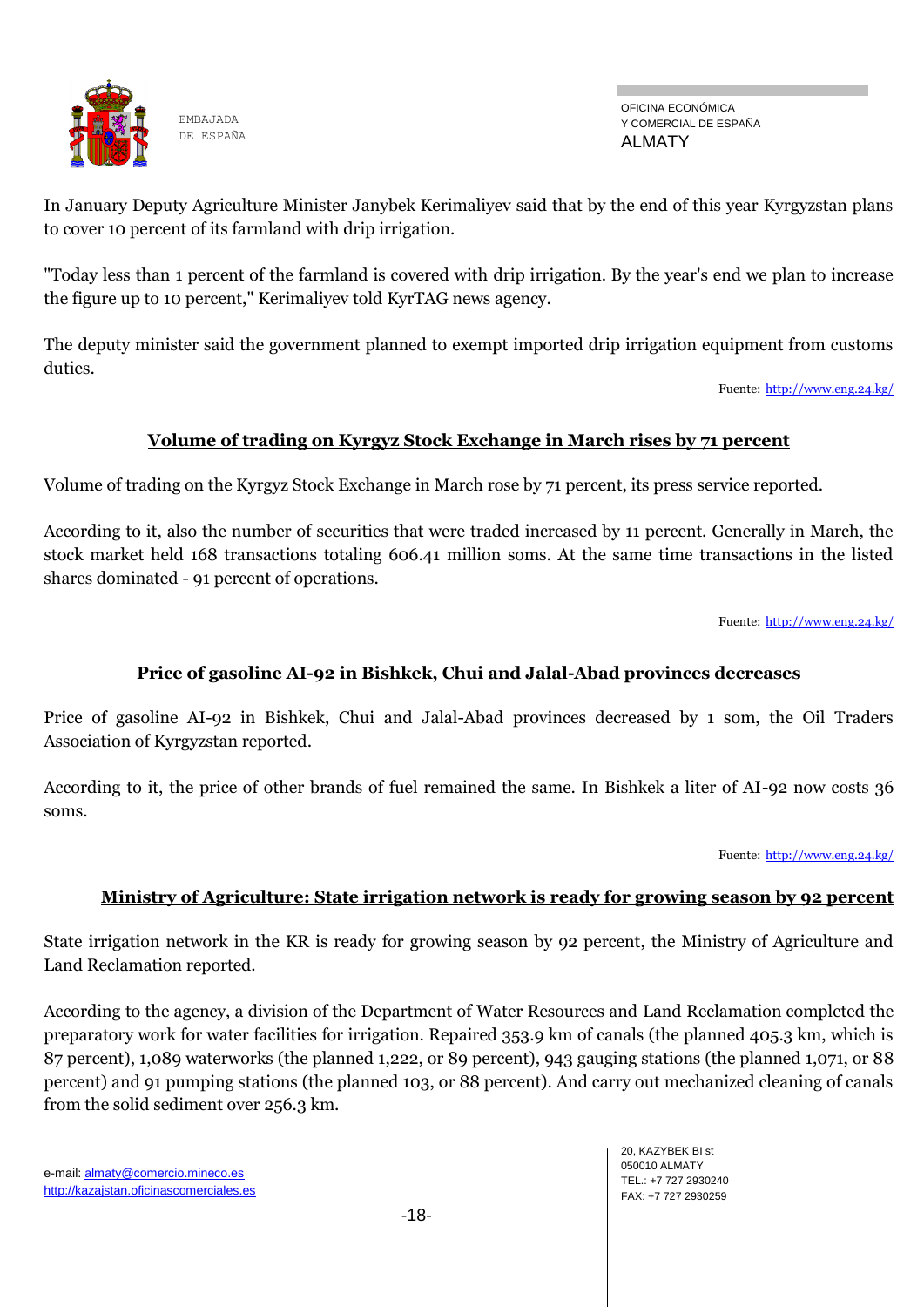![](_page_17_Picture_0.jpeg)

OFICINA ECONÓMICA Y COMERCIAL DE ESPAÑA ALMATY

In January Deputy Agriculture Minister Janybek Kerimaliyev said that by the end of this year Kyrgyzstan plans to cover 10 percent of its farmland with drip irrigation.

"Today less than 1 percent of the farmland is covered with drip irrigation. By the year's end we plan to increase the figure up to 10 percent," Kerimaliyev told KyrTAG news agency.

The deputy minister said the government planned to exempt imported drip irrigation equipment from customs duties.

Fuente: <http://www.eng.24.kg/>

### **Volume of trading on Kyrgyz Stock Exchange in March rises by 71 percent**

Volume of trading on the Kyrgyz Stock Exchange in March rose by 71 percent, its press service reported.

According to it, also the number of securities that were traded increased by 11 percent. Generally in March, the stock market held 168 transactions totaling 606.41 million soms. At the same time transactions in the listed shares dominated - 91 percent of operations.

Fuente: <http://www.eng.24.kg/>

### **Price of gasoline AI-92 in Bishkek, Chui and Jalal-Abad provinces decreases**

Price of gasoline AI-92 in Bishkek, Chui and Jalal-Abad provinces decreased by 1 som, the Oil Traders Association of Kyrgyzstan reported.

According to it, the price of other brands of fuel remained the same. In Bishkek a liter of AI-92 now costs 36 soms.

Fuente: <http://www.eng.24.kg/>

### **Ministry of Agriculture: State irrigation network is ready for growing season by 92 percent**

State irrigation network in the KR is ready for growing season by 92 percent, the Ministry of Agriculture and Land Reclamation reported.

According to the agency, a division of the Department of Water Resources and Land Reclamation completed the preparatory work for water facilities for irrigation. Repaired 353.9 km of canals (the planned 405.3 km, which is 87 percent), 1,089 waterworks (the planned 1,222, or 89 percent), 943 gauging stations (the planned 1,071, or 88 percent) and 91 pumping stations (the planned 103, or 88 percent). And carry out mechanized cleaning of canals from the solid sediment over 256.3 km.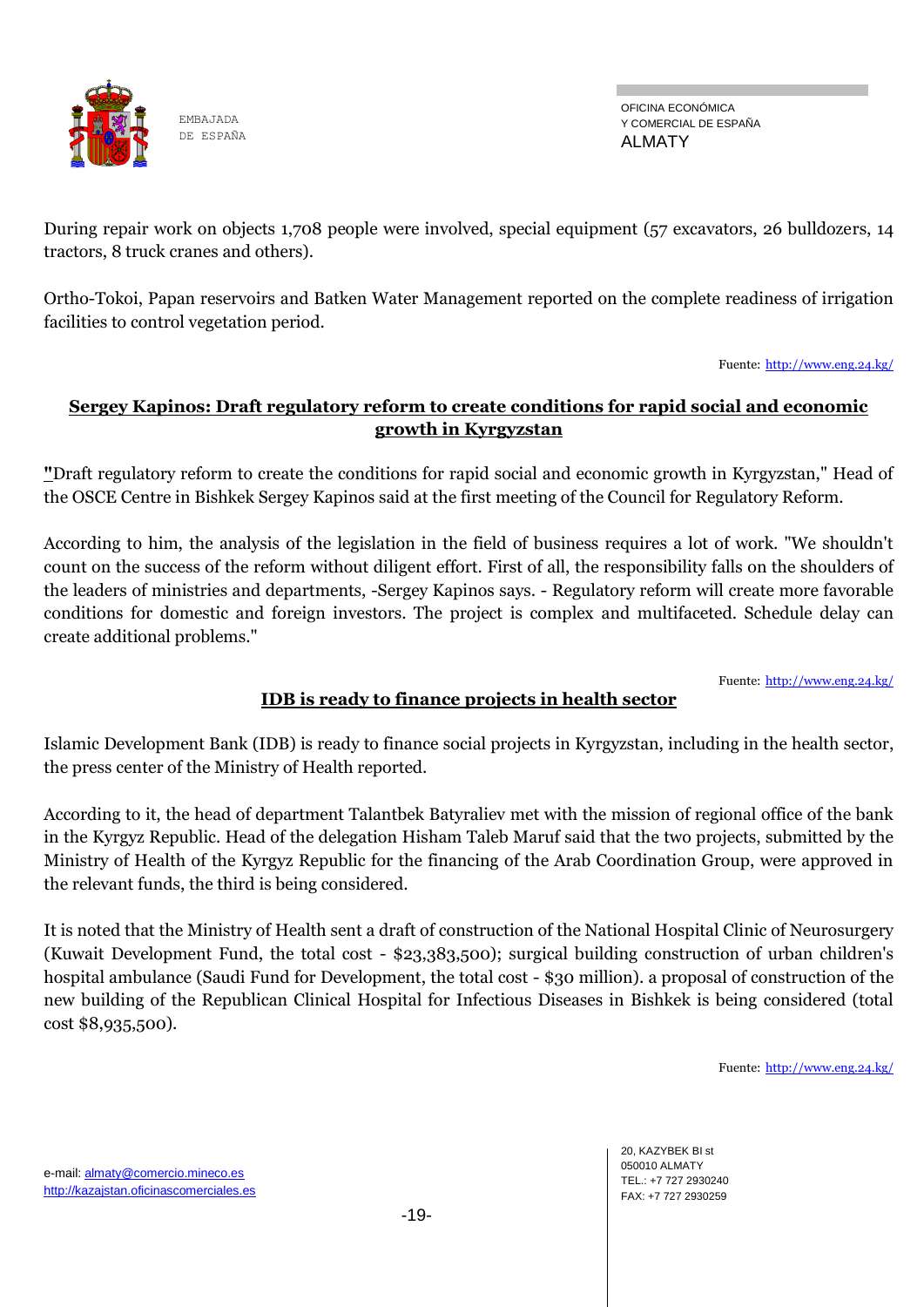![](_page_18_Picture_0.jpeg)

OFICINA ECONÓMICA Y COMERCIAL DE ESPAÑA ALMATY

During repair work on objects 1,708 people were involved, special equipment (57 excavators, 26 bulldozers, 14 tractors, 8 truck cranes and others).

Ortho-Tokoi, Papan reservoirs and Batken Water Management reported on the complete readiness of irrigation facilities to control vegetation period.

Fuente: <http://www.eng.24.kg/>

## **Sergey Kapinos: Draft regulatory reform to create conditions for rapid social and economic growth in Kyrgyzstan**

**"**Draft regulatory reform to create the conditions for rapid social and economic growth in Kyrgyzstan," Head of the OSCE Centre in Bishkek Sergey Kapinos said at the first meeting of the Council for Regulatory Reform.

According to him, the analysis of the legislation in the field of business requires a lot of work. "We shouldn't count on the success of the reform without diligent effort. First of all, the responsibility falls on the shoulders of the leaders of ministries and departments, -Sergey Kapinos says. - Regulatory reform will create more favorable conditions for domestic and foreign investors. The project is complex and multifaceted. Schedule delay can create additional problems."

Fuente: <http://www.eng.24.kg/>

# **IDB is ready to finance projects in health sector**

Islamic Development Bank (IDB) is ready to finance social projects in Kyrgyzstan, including in the health sector, the press center of the Ministry of Health reported.

According to it, the head of department Talantbek Batyraliev met with the mission of regional office of the bank in the Kyrgyz Republic. Head of the delegation Hisham Taleb Maruf said that the two projects, submitted by the Ministry of Health of the Kyrgyz Republic for the financing of the Arab Coordination Group, were approved in the relevant funds, the third is being considered.

It is noted that the Ministry of Health sent a draft of construction of the National Hospital Clinic of Neurosurgery (Kuwait Development Fund, the total cost - \$23,383,500); surgical building construction of urban children's hospital ambulance (Saudi Fund for Development, the total cost - \$30 million). a proposal of construction of the new building of the Republican Clinical Hospital for Infectious Diseases in Bishkek is being considered (total cost \$8,935,500).

Fuente: <http://www.eng.24.kg/>

20, KAZYBEK BI st 050010 ALMATY TEL.: +7 727 2930240 FAX: +7 727 2930259

e-mail: almaty@comercio.mineco.es http://kazajstan.oficinascomerciales.es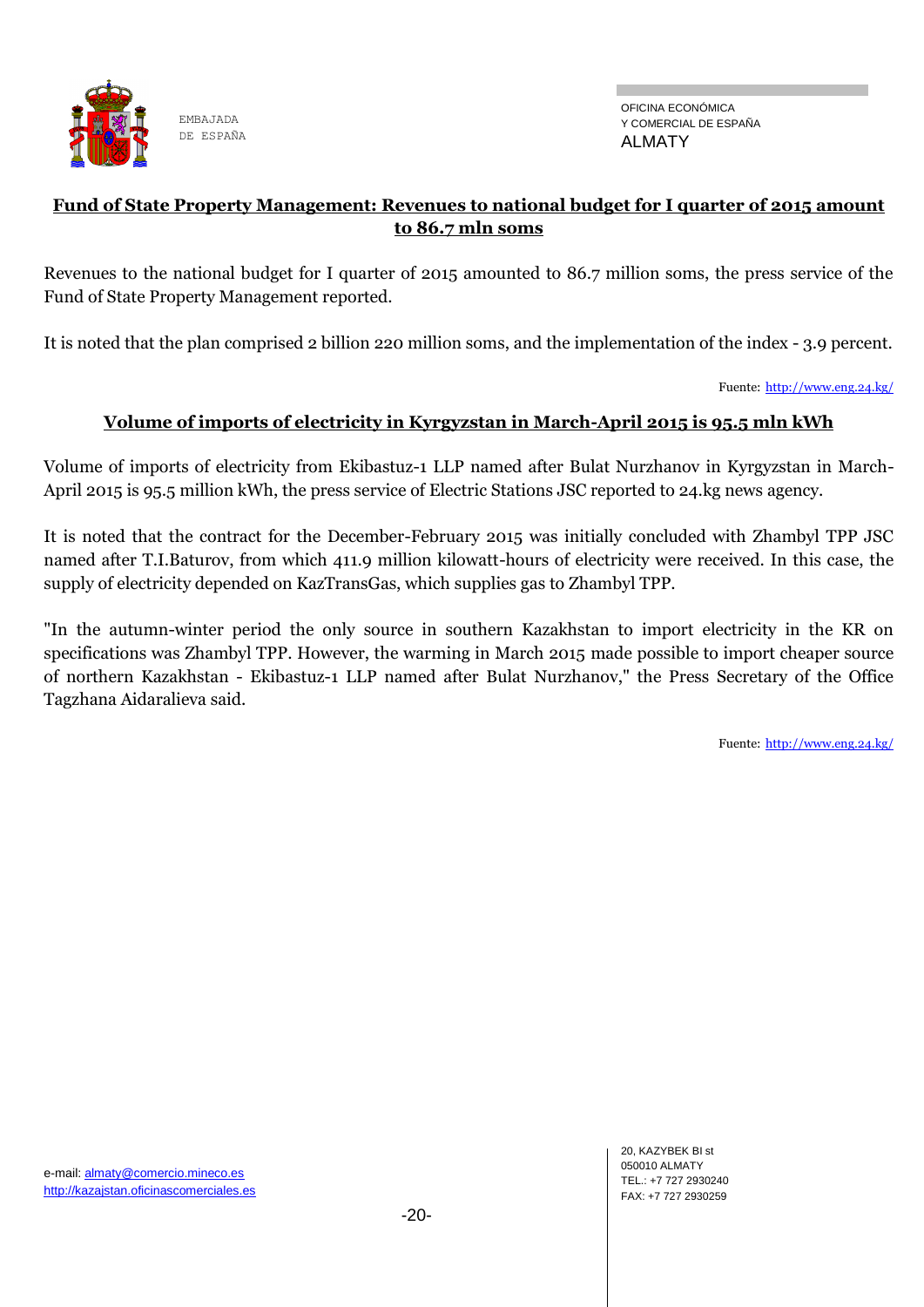![](_page_19_Picture_0.jpeg)

OFICINA ECONÓMICA Y COMERCIAL DE ESPAÑA ALMATY

### **Fund of State Property Management: Revenues to national budget for I quarter of 2015 amount to 86.7 mln soms**

Revenues to the national budget for I quarter of 2015 amounted to 86.7 million soms, the press service of the Fund of State Property Management reported.

It is noted that the plan comprised 2 billion 220 million soms, and the implementation of the index - 3.9 percent.

Fuente: <http://www.eng.24.kg/>

## **Volume of imports of electricity in Kyrgyzstan in March-April 2015 is 95.5 mln kWh**

Volume of imports of electricity from Ekibastuz-1 LLP named after Bulat Nurzhanov in Kyrgyzstan in March-April 2015 is 95.5 million kWh, the press service of Electric Stations JSC reported to 24.kg news agency.

It is noted that the contract for the December-February 2015 was initially concluded with Zhambyl TPP JSC named after T.I.Baturov, from which 411.9 million kilowatt-hours of electricity were received. In this case, the supply of electricity depended on KazTransGas, which supplies gas to Zhambyl TPP.

"In the autumn-winter period the only source in southern Kazakhstan to import electricity in the KR on specifications was Zhambyl TPP. However, the warming in March 2015 made possible to import cheaper source of northern Kazakhstan - Ekibastuz-1 LLP named after Bulat Nurzhanov," the Press Secretary of the Office Tagzhana Aidaralieva said.

Fuente: <http://www.eng.24.kg/>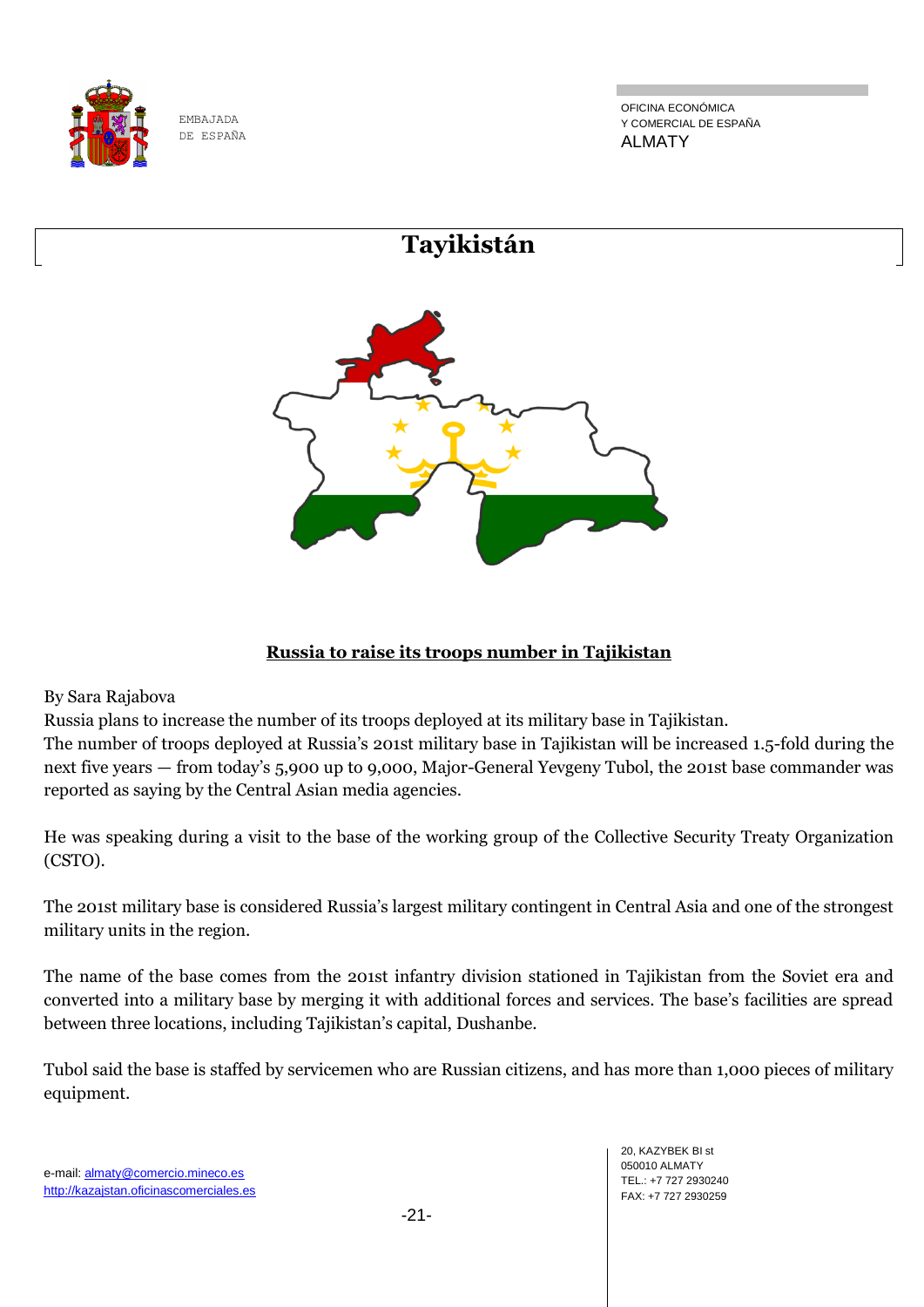![](_page_20_Picture_0.jpeg)

OFICINA ECONÓMICA Y COMERCIAL DE ESPAÑA ALMATY

# **Tayikistán**

![](_page_20_Picture_4.jpeg)

## **Russia to raise its troops number in Tajikistan**

By Sara Rajabova

Russia plans to increase the number of its troops deployed at its military base in Tajikistan.

The number of troops deployed at Russia's 201st military base in Tajikistan will be increased 1.5-fold during the next five years — from today's 5,900 up to 9,000, Major-General Yevgeny Tubol, the 201st base commander was reported as saying by the Central Asian media agencies.

He was speaking during a visit to the base of the working group of the Collective Security Treaty Organization (CSTO).

The 201st military base is considered Russia's largest military contingent in Central Asia and one of the strongest military units in the region.

The name of the base comes from the 201st infantry division stationed in Tajikistan from the Soviet era and converted into a military base by merging it with additional forces and services. The base's facilities are spread between three locations, including Tajikistan's capital, Dushanbe.

Tubol said the base is staffed by servicemen who are Russian citizens, and has more than 1,000 pieces of military equipment.